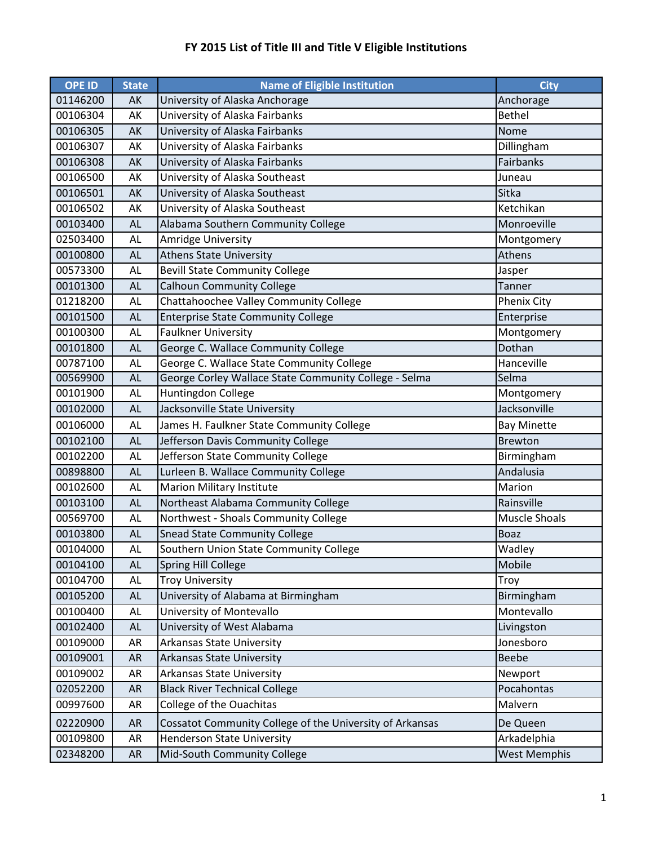| <b>OPE ID</b> | <b>State</b> | <b>Name of Eligible Institution</b>                      | <b>City</b>          |
|---------------|--------------|----------------------------------------------------------|----------------------|
| 01146200      | AK           | University of Alaska Anchorage                           | Anchorage            |
| 00106304      | AK           | University of Alaska Fairbanks                           | <b>Bethel</b>        |
| 00106305      | AK           | University of Alaska Fairbanks                           | Nome                 |
| 00106307      | AK           | University of Alaska Fairbanks                           | Dillingham           |
| 00106308      | AK           | University of Alaska Fairbanks                           | Fairbanks            |
| 00106500      | AK           | University of Alaska Southeast                           | Juneau               |
| 00106501      | AK           | University of Alaska Southeast                           | Sitka                |
| 00106502      | AK           | University of Alaska Southeast                           | Ketchikan            |
| 00103400      | <b>AL</b>    | Alabama Southern Community College                       | Monroeville          |
| 02503400      | <b>AL</b>    | <b>Amridge University</b>                                | Montgomery           |
| 00100800      | <b>AL</b>    | <b>Athens State University</b>                           | Athens               |
| 00573300      | AL           | <b>Bevill State Community College</b>                    | Jasper               |
| 00101300      | <b>AL</b>    | <b>Calhoun Community College</b>                         | Tanner               |
| 01218200      | AL           | Chattahoochee Valley Community College                   | Phenix City          |
| 00101500      | <b>AL</b>    | <b>Enterprise State Community College</b>                | Enterprise           |
| 00100300      | AL           | <b>Faulkner University</b>                               | Montgomery           |
| 00101800      | <b>AL</b>    | George C. Wallace Community College                      | Dothan               |
| 00787100      | AL           | George C. Wallace State Community College                | Hanceville           |
| 00569900      | <b>AL</b>    | George Corley Wallace State Community College - Selma    | Selma                |
| 00101900      | AL           | Huntingdon College                                       | Montgomery           |
| 00102000      | <b>AL</b>    | Jacksonville State University                            | Jacksonville         |
| 00106000      | AL           | James H. Faulkner State Community College                | <b>Bay Minette</b>   |
| 00102100      | <b>AL</b>    | Jefferson Davis Community College                        | <b>Brewton</b>       |
| 00102200      | AL           | Jefferson State Community College                        | Birmingham           |
| 00898800      | <b>AL</b>    | Lurleen B. Wallace Community College                     | Andalusia            |
| 00102600      | AL           | <b>Marion Military Institute</b>                         | Marion               |
| 00103100      | <b>AL</b>    | Northeast Alabama Community College                      | Rainsville           |
| 00569700      | AL           | Northwest - Shoals Community College                     | <b>Muscle Shoals</b> |
| 00103800      | <b>AL</b>    | <b>Snead State Community College</b>                     | <b>Boaz</b>          |
| 00104000      | AL           | Southern Union State Community College                   | Wadley               |
| 00104100      | AL           | <b>Spring Hill College</b>                               | Mobile               |
| 00104700      | AL           | <b>Troy University</b>                                   | Troy                 |
| 00105200      | AL           | University of Alabama at Birmingham                      | Birmingham           |
| 00100400      | AL           | University of Montevallo                                 | Montevallo           |
| 00102400      | AL           | University of West Alabama                               | Livingston           |
| 00109000      | AR           | Arkansas State University                                | Jonesboro            |
| 00109001      | AR           | <b>Arkansas State University</b>                         | Beebe                |
| 00109002      | AR           | <b>Arkansas State University</b>                         | Newport              |
| 02052200      | <b>AR</b>    | <b>Black River Technical College</b>                     | Pocahontas           |
| 00997600      | AR           | College of the Ouachitas                                 | Malvern              |
| 02220900      | <b>AR</b>    | Cossatot Community College of the University of Arkansas | De Queen             |
| 00109800      | AR           | <b>Henderson State University</b>                        | Arkadelphia          |
| 02348200      | <b>AR</b>    | Mid-South Community College                              | <b>West Memphis</b>  |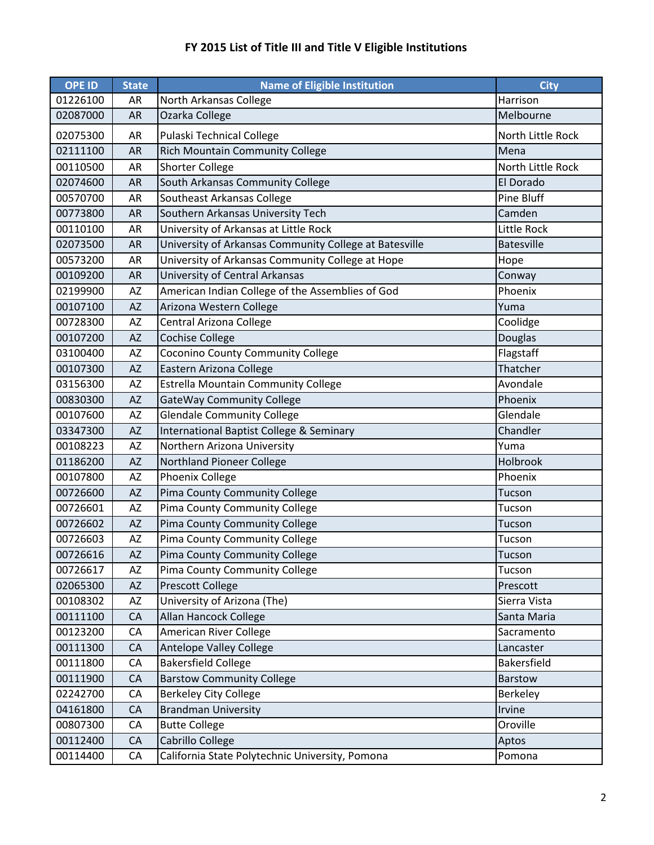| <b>OPE ID</b> | <b>State</b> | <b>Name of Eligible Institution</b>                    | <b>City</b>       |
|---------------|--------------|--------------------------------------------------------|-------------------|
| 01226100      | AR           | North Arkansas College                                 | Harrison          |
| 02087000      | <b>AR</b>    | Ozarka College                                         | Melbourne         |
| 02075300      | AR           | Pulaski Technical College                              | North Little Rock |
| 02111100      | <b>AR</b>    | <b>Rich Mountain Community College</b>                 | Mena              |
| 00110500      | AR           | <b>Shorter College</b>                                 | North Little Rock |
| 02074600      | <b>AR</b>    | South Arkansas Community College                       | El Dorado         |
| 00570700      | AR           | Southeast Arkansas College                             | Pine Bluff        |
| 00773800      | <b>AR</b>    | Southern Arkansas University Tech                      | Camden            |
| 00110100      | AR           | University of Arkansas at Little Rock                  | Little Rock       |
| 02073500      | <b>AR</b>    | University of Arkansas Community College at Batesville | <b>Batesville</b> |
| 00573200      | AR           | University of Arkansas Community College at Hope       | Hope              |
| 00109200      | <b>AR</b>    | University of Central Arkansas                         | Conway            |
| 02199900      | AZ           | American Indian College of the Assemblies of God       | Phoenix           |
| 00107100      | <b>AZ</b>    | Arizona Western College                                | Yuma              |
| 00728300      | AZ           | Central Arizona College                                | Coolidge          |
| 00107200      | <b>AZ</b>    | <b>Cochise College</b>                                 | Douglas           |
| 03100400      | AZ           | Coconino County Community College                      | Flagstaff         |
| 00107300      | <b>ΑΖ</b>    | Eastern Arizona College                                | Thatcher          |
| 03156300      | AZ           | <b>Estrella Mountain Community College</b>             | Avondale          |
| 00830300      | <b>AZ</b>    | GateWay Community College                              | Phoenix           |
| 00107600      | AZ           | <b>Glendale Community College</b>                      | Glendale          |
| 03347300      | <b>ΑΖ</b>    | International Baptist College & Seminary               | Chandler          |
| 00108223      | AZ           | Northern Arizona University                            | Yuma              |
| 01186200      | <b>AZ</b>    | <b>Northland Pioneer College</b>                       | Holbrook          |
| 00107800      | AZ           | Phoenix College                                        | Phoenix           |
| 00726600      | <b>AZ</b>    | Pima County Community College                          | Tucson            |
| 00726601      | AZ           | Pima County Community College                          | Tucson            |
| 00726602      | <b>AZ</b>    | Pima County Community College                          | Tucson            |
| 00726603      | AZ           | Pima County Community College                          | Tucson            |
| 00726616      | AZ           | Pima County Community College                          | Tucson            |
| 00726617      | AZ           | Pima County Community College                          | Tucson            |
| 02065300      | <b>AZ</b>    | Prescott College                                       | Prescott          |
| 00108302      | AZ           | University of Arizona (The)                            | Sierra Vista      |
| 00111100      | CA           | Allan Hancock College                                  | Santa Maria       |
| 00123200      | CA           | American River College                                 | Sacramento        |
| 00111300      | CA           | Antelope Valley College                                | Lancaster         |
| 00111800      | CA           | <b>Bakersfield College</b>                             | Bakersfield       |
| 00111900      | CA           | <b>Barstow Community College</b>                       | Barstow           |
| 02242700      | CA           | <b>Berkeley City College</b>                           | Berkeley          |
| 04161800      | CA           | <b>Brandman University</b>                             | Irvine            |
| 00807300      | CA           | <b>Butte College</b>                                   | Oroville          |
| 00112400      | CA           | Cabrillo College                                       | Aptos             |
| 00114400      | CA           | California State Polytechnic University, Pomona        | Pomona            |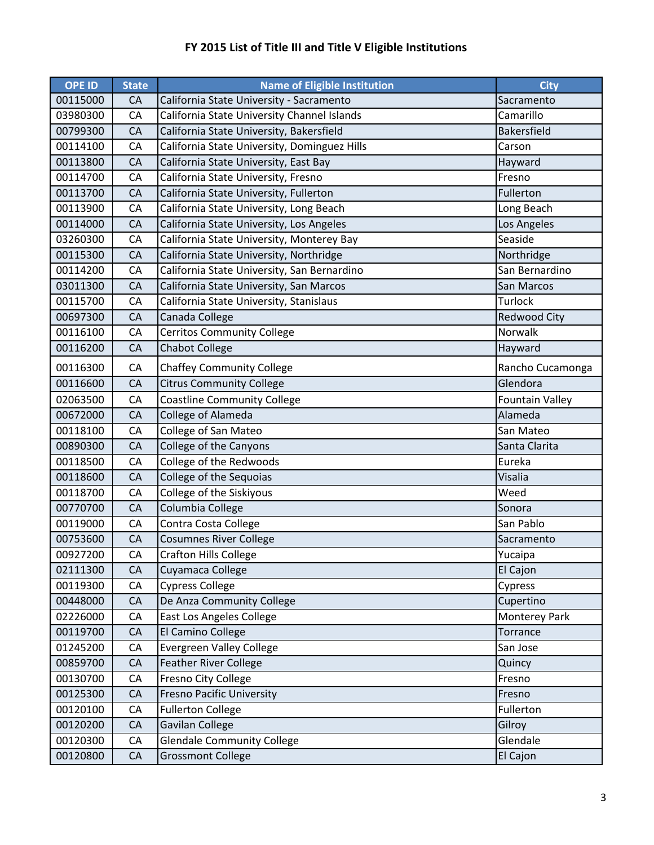| <b>OPE ID</b> | <b>State</b> | <b>Name of Eligible Institution</b>          | <b>City</b>            |
|---------------|--------------|----------------------------------------------|------------------------|
| 00115000      | CA           | California State University - Sacramento     | Sacramento             |
| 03980300      | CA           | California State University Channel Islands  | Camarillo              |
| 00799300      | CA           | California State University, Bakersfield     | <b>Bakersfield</b>     |
| 00114100      | CA           | California State University, Dominguez Hills | Carson                 |
| 00113800      | CA           | California State University, East Bay        | Hayward                |
| 00114700      | CA           | California State University, Fresno          | Fresno                 |
| 00113700      | CA           | California State University, Fullerton       | Fullerton              |
| 00113900      | CA           | California State University, Long Beach      | Long Beach             |
| 00114000      | CA           | California State University, Los Angeles     | Los Angeles            |
| 03260300      | CA           | California State University, Monterey Bay    | Seaside                |
| 00115300      | CA           | California State University, Northridge      | Northridge             |
| 00114200      | CA           | California State University, San Bernardino  | San Bernardino         |
| 03011300      | CA           | California State University, San Marcos      | San Marcos             |
| 00115700      | CA           | California State University, Stanislaus      | Turlock                |
| 00697300      | CA           | Canada College                               | <b>Redwood City</b>    |
| 00116100      | CA           | <b>Cerritos Community College</b>            | Norwalk                |
| 00116200      | CA           | <b>Chabot College</b>                        | Hayward                |
| 00116300      | CA           | <b>Chaffey Community College</b>             | Rancho Cucamonga       |
| 00116600      | CA           | <b>Citrus Community College</b>              | Glendora               |
| 02063500      | CA           | <b>Coastline Community College</b>           | <b>Fountain Valley</b> |
| 00672000      | CA           | College of Alameda                           | Alameda                |
| 00118100      | CA           | College of San Mateo                         | San Mateo              |
| 00890300      | CA           | College of the Canyons                       | Santa Clarita          |
| 00118500      | CA           | College of the Redwoods                      | Eureka                 |
| 00118600      | CA           | College of the Sequoias                      | Visalia                |
| 00118700      | CA           | College of the Siskiyous                     | Weed                   |
| 00770700      | CA           | Columbia College                             | Sonora                 |
| 00119000      | CA           | Contra Costa College                         | San Pablo              |
| 00753600      | CA           | <b>Cosumnes River College</b>                | Sacramento             |
| 00927200      | CA           | Crafton Hills College                        | Yucaipa                |
| 02111300      | CA           | Cuyamaca College                             | El Cajon               |
| 00119300      | CA           | <b>Cypress College</b>                       | Cypress                |
| 00448000      | CA           | De Anza Community College                    | Cupertino              |
| 02226000      | CA           | East Los Angeles College                     | <b>Monterey Park</b>   |
| 00119700      | CA           | El Camino College                            | Torrance               |
| 01245200      | CA           | <b>Evergreen Valley College</b>              | San Jose               |
| 00859700      | CA           | <b>Feather River College</b>                 | Quincy                 |
| 00130700      | CA           | Fresno City College                          | Fresno                 |
| 00125300      | CA           | <b>Fresno Pacific University</b>             | Fresno                 |
| 00120100      | CA           | <b>Fullerton College</b>                     | Fullerton              |
| 00120200      | CA           | Gavilan College                              | Gilroy                 |
| 00120300      | CA           | <b>Glendale Community College</b>            | Glendale               |
| 00120800      | CA           | <b>Grossmont College</b>                     | El Cajon               |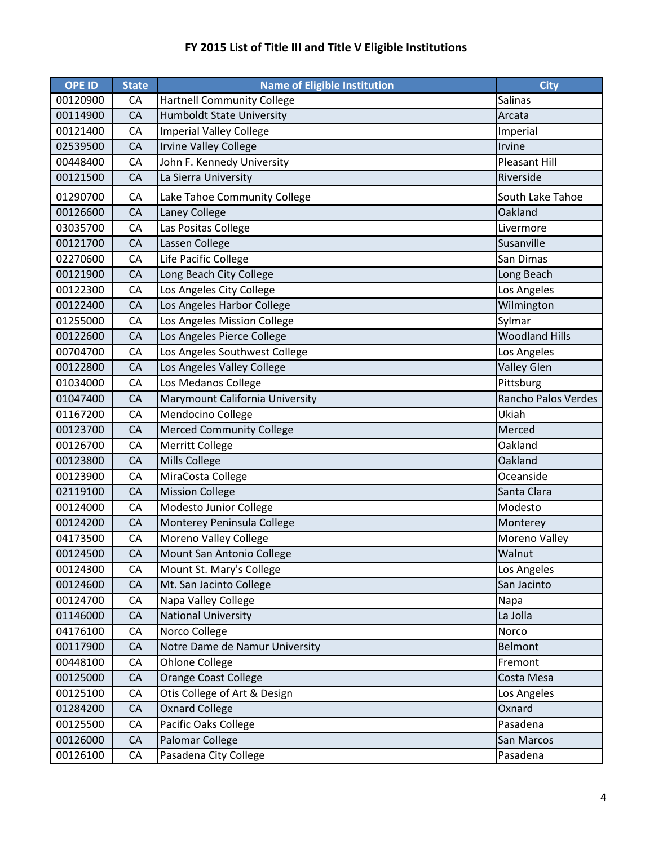| <b>OPE ID</b> | <b>State</b> | <b>Name of Eligible Institution</b> | <b>City</b>           |
|---------------|--------------|-------------------------------------|-----------------------|
| 00120900      | CA           | <b>Hartnell Community College</b>   | Salinas               |
| 00114900      | CA           | <b>Humboldt State University</b>    | Arcata                |
| 00121400      | CA           | <b>Imperial Valley College</b>      | Imperial              |
| 02539500      | CA           | <b>Irvine Valley College</b>        | Irvine                |
| 00448400      | CA           | John F. Kennedy University          | <b>Pleasant Hill</b>  |
| 00121500      | CA           | La Sierra University                | Riverside             |
| 01290700      | CA           | Lake Tahoe Community College        | South Lake Tahoe      |
| 00126600      | CA           | Laney College                       | Oakland               |
| 03035700      | CA           | Las Positas College                 | Livermore             |
| 00121700      | CA           | Lassen College                      | Susanville            |
| 02270600      | CA           | Life Pacific College                | San Dimas             |
| 00121900      | CA           | Long Beach City College             | Long Beach            |
| 00122300      | CA           | Los Angeles City College            | Los Angeles           |
| 00122400      | CA           | Los Angeles Harbor College          | Wilmington            |
| 01255000      | CA           | Los Angeles Mission College         | Sylmar                |
| 00122600      | CA           | Los Angeles Pierce College          | <b>Woodland Hills</b> |
| 00704700      | CA           | Los Angeles Southwest College       | Los Angeles           |
| 00122800      | CA           | Los Angeles Valley College          | <b>Valley Glen</b>    |
| 01034000      | CA           | Los Medanos College                 | Pittsburg             |
| 01047400      | CA           | Marymount California University     | Rancho Palos Verdes   |
| 01167200      | CA           | Mendocino College                   | Ukiah                 |
| 00123700      | CA           | <b>Merced Community College</b>     | Merced                |
| 00126700      | CA           | Merritt College                     | Oakland               |
| 00123800      | CA           | Mills College                       | Oakland               |
| 00123900      | CA           | MiraCosta College                   | Oceanside             |
| 02119100      | CA           | <b>Mission College</b>              | Santa Clara           |
| 00124000      | CA           | Modesto Junior College              | Modesto               |
| 00124200      | CA           | Monterey Peninsula College          | Monterey              |
| 04173500      | CA           | Moreno Valley College               | Moreno Valley         |
| 00124500      | CA           | Mount San Antonio College           | Walnut                |
| 00124300      | CA           | Mount St. Mary's College            | Los Angeles           |
| 00124600      | CA           | Mt. San Jacinto College             | San Jacinto           |
| 00124700      | CA           | Napa Valley College                 | Napa                  |
| 01146000      | CA           | <b>National University</b>          | La Jolla              |
| 04176100      | CA           | Norco College                       | Norco                 |
| 00117900      | CA           | Notre Dame de Namur University      | <b>Belmont</b>        |
| 00448100      | CA           | <b>Ohlone College</b>               | Fremont               |
| 00125000      | CA           | <b>Orange Coast College</b>         | Costa Mesa            |
| 00125100      | CA           | Otis College of Art & Design        | Los Angeles           |
| 01284200      | CA           | <b>Oxnard College</b>               | Oxnard                |
| 00125500      | CA           | Pacific Oaks College                | Pasadena              |
| 00126000      | CA           | Palomar College                     | San Marcos            |
| 00126100      | CA           | Pasadena City College               | Pasadena              |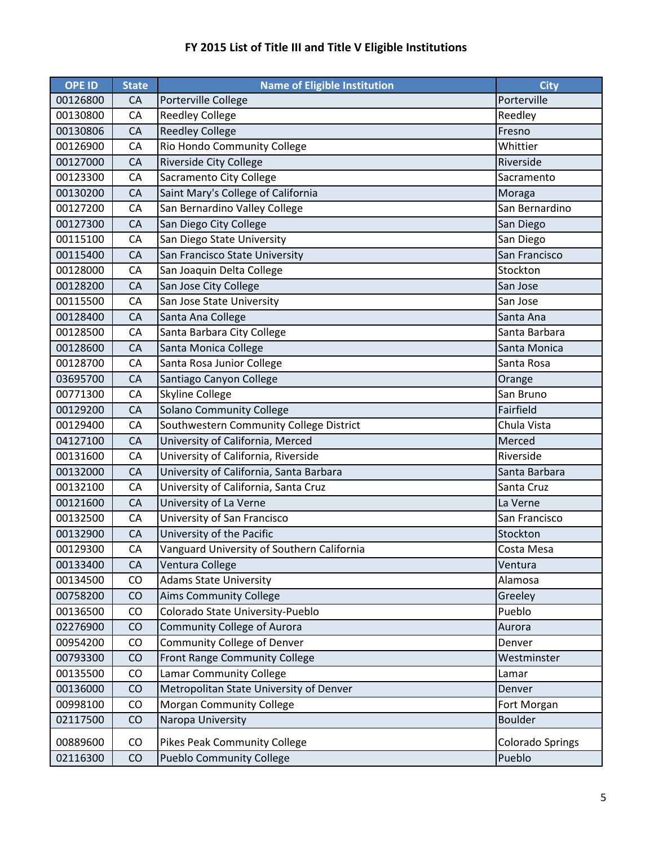| <b>OPE ID</b> | <b>State</b> | <b>Name of Eligible Institution</b>        | <b>City</b>             |
|---------------|--------------|--------------------------------------------|-------------------------|
| 00126800      | CA           | Porterville College                        | Porterville             |
| 00130800      | CA           | <b>Reedley College</b>                     | Reedley                 |
| 00130806      | CA           | <b>Reedley College</b>                     | Fresno                  |
| 00126900      | CA           | Rio Hondo Community College                | Whittier                |
| 00127000      | CA           | <b>Riverside City College</b>              | Riverside               |
| 00123300      | CA           | Sacramento City College                    | Sacramento              |
| 00130200      | CA           | Saint Mary's College of California         | Moraga                  |
| 00127200      | CA           | San Bernardino Valley College              | San Bernardino          |
| 00127300      | CA           | San Diego City College                     | San Diego               |
| 00115100      | CA           | San Diego State University                 | San Diego               |
| 00115400      | CA           | San Francisco State University             | San Francisco           |
| 00128000      | CA           | San Joaquin Delta College                  | Stockton                |
| 00128200      | CA           | San Jose City College                      | San Jose                |
| 00115500      | CA           | San Jose State University                  | San Jose                |
| 00128400      | CA           | Santa Ana College                          | Santa Ana               |
| 00128500      | CA           | Santa Barbara City College                 | Santa Barbara           |
| 00128600      | CA           | Santa Monica College                       | Santa Monica            |
| 00128700      | CA           | Santa Rosa Junior College                  | Santa Rosa              |
| 03695700      | CA           | Santiago Canyon College                    | Orange                  |
| 00771300      | CA           | Skyline College                            | San Bruno               |
| 00129200      | CA           | <b>Solano Community College</b>            | Fairfield               |
| 00129400      | CA           | Southwestern Community College District    | Chula Vista             |
| 04127100      | CA           | University of California, Merced           | Merced                  |
| 00131600      | CA           | University of California, Riverside        | Riverside               |
| 00132000      | CA           | University of California, Santa Barbara    | Santa Barbara           |
| 00132100      | CA           | University of California, Santa Cruz       | Santa Cruz              |
| 00121600      | CA           | University of La Verne                     | La Verne                |
| 00132500      | CA           | University of San Francisco                | San Francisco           |
| 00132900      | CA           | University of the Pacific                  | Stockton                |
| 00129300      | CA           | Vanguard University of Southern California | Costa Mesa              |
| 00133400      | CA           | Ventura College                            | Ventura                 |
| 00134500      | CO           | Adams State University                     | Alamosa                 |
| 00758200      | CO           | <b>Aims Community College</b>              | Greeley                 |
| 00136500      | CO           | Colorado State University-Pueblo           | Pueblo                  |
| 02276900      | CO           | Community College of Aurora                | Aurora                  |
| 00954200      | CO           | Community College of Denver                | Denver                  |
| 00793300      | CO           | Front Range Community College              | Westminster             |
| 00135500      | CO           | <b>Lamar Community College</b>             | Lamar                   |
| 00136000      | CO           | Metropolitan State University of Denver    | Denver                  |
| 00998100      | CO           | <b>Morgan Community College</b>            | Fort Morgan             |
| 02117500      | CO           | Naropa University                          | <b>Boulder</b>          |
| 00889600      | CO           | <b>Pikes Peak Community College</b>        | <b>Colorado Springs</b> |
| 02116300      | CO           | <b>Pueblo Community College</b>            | Pueblo                  |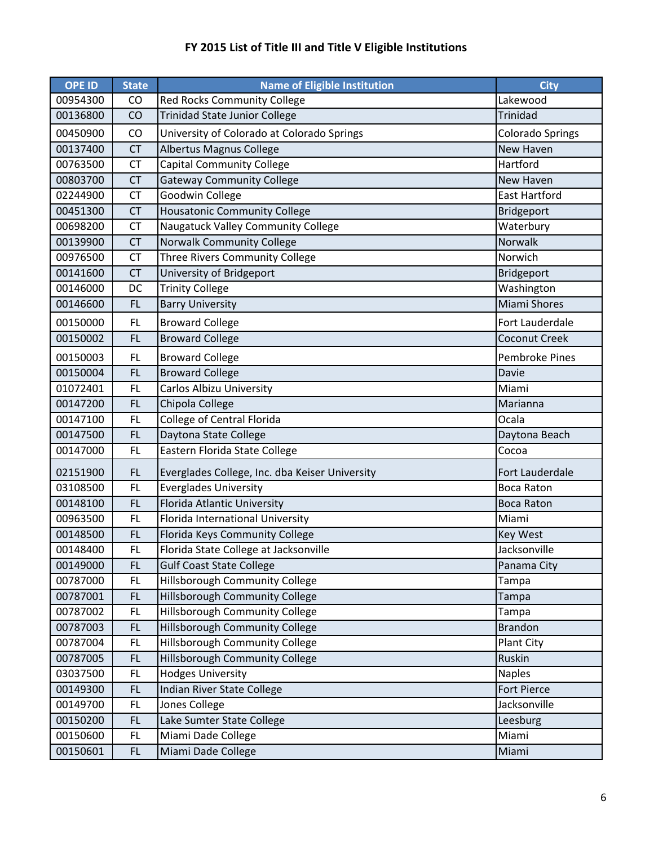| <b>OPE ID</b> | <b>State</b> | <b>Name of Eligible Institution</b>            | <b>City</b>             |
|---------------|--------------|------------------------------------------------|-------------------------|
| 00954300      | <b>CO</b>    | <b>Red Rocks Community College</b>             | Lakewood                |
| 00136800      | CO           | <b>Trinidad State Junior College</b>           | <b>Trinidad</b>         |
| 00450900      | CO           | University of Colorado at Colorado Springs     | <b>Colorado Springs</b> |
| 00137400      | <b>CT</b>    | Albertus Magnus College                        | New Haven               |
| 00763500      | <b>CT</b>    | <b>Capital Community College</b>               | Hartford                |
| 00803700      | <b>CT</b>    | <b>Gateway Community College</b>               | New Haven               |
| 02244900      | CT           | Goodwin College                                | <b>East Hartford</b>    |
| 00451300      | <b>CT</b>    | <b>Housatonic Community College</b>            | Bridgeport              |
| 00698200      | CT           | Naugatuck Valley Community College             | Waterbury               |
| 00139900      | <b>CT</b>    | Norwalk Community College                      | Norwalk                 |
| 00976500      | <b>CT</b>    | Three Rivers Community College                 | Norwich                 |
| 00141600      | <b>CT</b>    | University of Bridgeport                       | Bridgeport              |
| 00146000      | DC           | <b>Trinity College</b>                         | Washington              |
| 00146600      | <b>FL</b>    | <b>Barry University</b>                        | <b>Miami Shores</b>     |
| 00150000      | <b>FL</b>    | <b>Broward College</b>                         | Fort Lauderdale         |
| 00150002      | <b>FL</b>    | <b>Broward College</b>                         | Coconut Creek           |
| 00150003      | <b>FL</b>    | <b>Broward College</b>                         | <b>Pembroke Pines</b>   |
| 00150004      | <b>FL</b>    | <b>Broward College</b>                         | Davie                   |
| 01072401      | <b>FL</b>    | Carlos Albizu University                       | Miami                   |
| 00147200      | FL.          | Chipola College                                | Marianna                |
| 00147100      | <b>FL</b>    | College of Central Florida                     | Ocala                   |
| 00147500      | <b>FL</b>    | Daytona State College                          | Daytona Beach           |
| 00147000      | <b>FL</b>    | Eastern Florida State College                  | Cocoa                   |
| 02151900      | <b>FL</b>    | Everglades College, Inc. dba Keiser University | Fort Lauderdale         |
| 03108500      | <b>FL</b>    | <b>Everglades University</b>                   | <b>Boca Raton</b>       |
| 00148100      | <b>FL</b>    | Florida Atlantic University                    | <b>Boca Raton</b>       |
| 00963500      | <b>FL</b>    | Florida International University               | Miami                   |
| 00148500      | <b>FL</b>    | Florida Keys Community College                 | <b>Key West</b>         |
| 00148400      | FL           | Florida State College at Jacksonville          | Jacksonville            |
| 00149000      | FL           | <b>Gulf Coast State College</b>                | Panama City             |
| 00787000      | FL           | <b>Hillsborough Community College</b>          | Tampa                   |
| 00787001      | FL           | Hillsborough Community College                 | Tampa                   |
| 00787002      | FL           | Hillsborough Community College                 | Tampa                   |
| 00787003      | FL.          | Hillsborough Community College                 | <b>Brandon</b>          |
| 00787004      | FL           | Hillsborough Community College                 | Plant City              |
| 00787005      | FL           | Hillsborough Community College                 | Ruskin                  |
| 03037500      | FL           | <b>Hodges University</b>                       | <b>Naples</b>           |
| 00149300      | FL           | Indian River State College                     | Fort Pierce             |
| 00149700      | <b>FL</b>    | Jones College                                  | Jacksonville            |
| 00150200      | <b>FL</b>    | Lake Sumter State College                      | Leesburg                |
| 00150600      | <b>FL</b>    | Miami Dade College                             | Miami                   |
| 00150601      | FL           | Miami Dade College                             | Miami                   |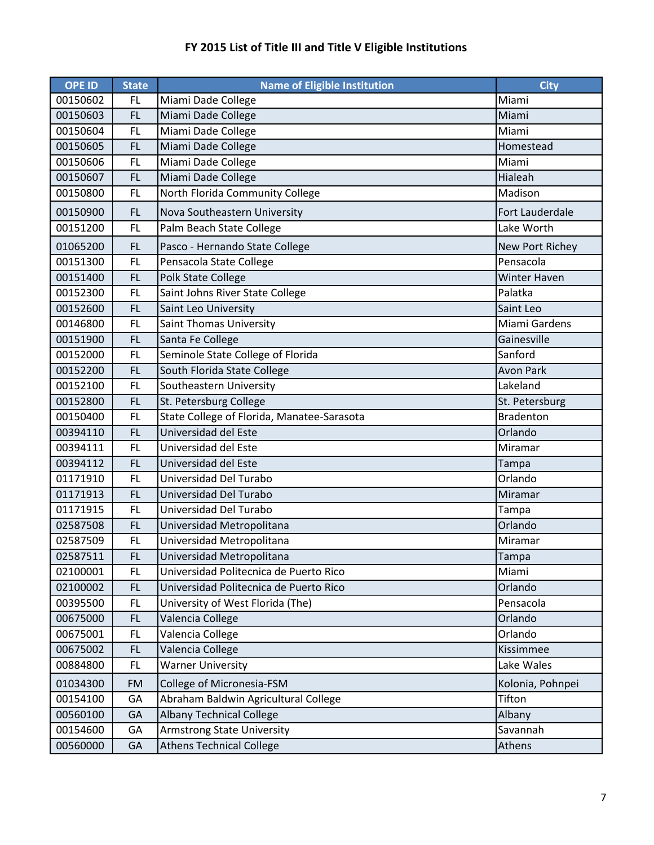| <b>OPE ID</b> | <b>State</b> | <b>Name of Eligible Institution</b>        | <b>City</b>          |
|---------------|--------------|--------------------------------------------|----------------------|
| 00150602      | <b>FL</b>    | Miami Dade College                         | Miami                |
| 00150603      | <b>FL</b>    | Miami Dade College                         | Miami                |
| 00150604      | <b>FL</b>    | Miami Dade College                         | Miami                |
| 00150605      | <b>FL</b>    | Miami Dade College                         | Homestead            |
| 00150606      | <b>FL</b>    | Miami Dade College                         | Miami                |
| 00150607      | <b>FL</b>    | Miami Dade College                         | Hialeah              |
| 00150800      | <b>FL</b>    | North Florida Community College            | Madison              |
| 00150900      | <b>FL</b>    | Nova Southeastern University               | Fort Lauderdale      |
| 00151200      | <b>FL</b>    | Palm Beach State College                   | Lake Worth           |
| 01065200      | <b>FL</b>    | Pasco - Hernando State College             | New Port Richey      |
| 00151300      | <b>FL</b>    | Pensacola State College                    | Pensacola            |
| 00151400      | <b>FL</b>    | <b>Polk State College</b>                  | <b>Winter Haven</b>  |
| 00152300      | <b>FL</b>    | Saint Johns River State College            | Palatka              |
| 00152600      | <b>FL</b>    | Saint Leo University                       | Saint Leo            |
| 00146800      | <b>FL</b>    | <b>Saint Thomas University</b>             | <b>Miami Gardens</b> |
| 00151900      | <b>FL</b>    | Santa Fe College                           | Gainesville          |
| 00152000      | <b>FL</b>    | Seminole State College of Florida          | Sanford              |
| 00152200      | <b>FL</b>    | South Florida State College                | <b>Avon Park</b>     |
| 00152100      | <b>FL</b>    | Southeastern University                    | Lakeland             |
| 00152800      | <b>FL</b>    | St. Petersburg College                     | St. Petersburg       |
| 00150400      | <b>FL</b>    | State College of Florida, Manatee-Sarasota | <b>Bradenton</b>     |
| 00394110      | <b>FL</b>    | Universidad del Este                       | Orlando              |
| 00394111      | <b>FL</b>    | Universidad del Este                       | Miramar              |
| 00394112      | <b>FL</b>    | Universidad del Este                       | Tampa                |
| 01171910      | <b>FL</b>    | Universidad Del Turabo                     | Orlando              |
| 01171913      | <b>FL</b>    | Universidad Del Turabo                     | Miramar              |
| 01171915      | <b>FL</b>    | Universidad Del Turabo                     | Tampa                |
| 02587508      | <b>FL</b>    | Universidad Metropolitana                  | Orlando              |
| 02587509      | <b>FL</b>    | Universidad Metropolitana                  | Miramar              |
| 02587511      | FL           | Universidad Metropolitana                  | Tampa                |
| 02100001      | <b>FL</b>    | Universidad Politecnica de Puerto Rico     | Miami                |
| 02100002      | <b>FL</b>    | Universidad Politecnica de Puerto Rico     | Orlando              |
| 00395500      | <b>FL</b>    | University of West Florida (The)           | Pensacola            |
| 00675000      | <b>FL</b>    | Valencia College                           | Orlando              |
| 00675001      | <b>FL</b>    | Valencia College                           | Orlando              |
| 00675002      | <b>FL</b>    | Valencia College                           | Kissimmee            |
| 00884800      | <b>FL</b>    | <b>Warner University</b>                   | Lake Wales           |
| 01034300      | <b>FM</b>    | College of Micronesia-FSM                  | Kolonia, Pohnpei     |
| 00154100      | GA           | Abraham Baldwin Agricultural College       | Tifton               |
| 00560100      | GA           | <b>Albany Technical College</b>            | Albany               |
| 00154600      | GA           | <b>Armstrong State University</b>          | Savannah             |
| 00560000      | GA           | <b>Athens Technical College</b>            | Athens               |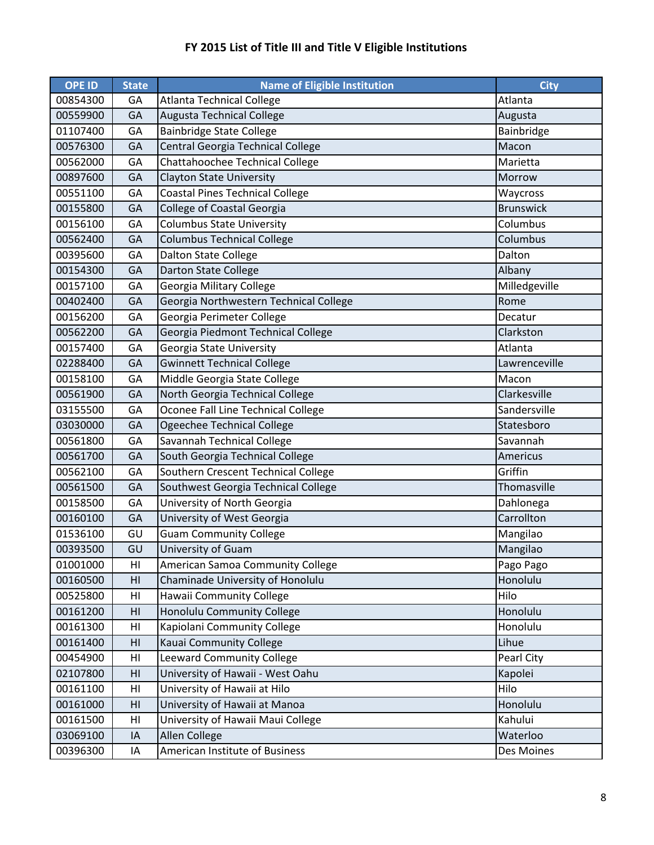| <b>OPE ID</b> | <b>State</b>   | <b>Name of Eligible Institution</b>    | <b>City</b>      |
|---------------|----------------|----------------------------------------|------------------|
| 00854300      | GA             | <b>Atlanta Technical College</b>       | Atlanta          |
| 00559900      | GA             | <b>Augusta Technical College</b>       | Augusta          |
| 01107400      | GA             | <b>Bainbridge State College</b>        | Bainbridge       |
| 00576300      | GA             | Central Georgia Technical College      | Macon            |
| 00562000      | GA             | Chattahoochee Technical College        | Marietta         |
| 00897600      | GA             | <b>Clayton State University</b>        | Morrow           |
| 00551100      | GA             | <b>Coastal Pines Technical College</b> | Waycross         |
| 00155800      | GA             | <b>College of Coastal Georgia</b>      | <b>Brunswick</b> |
| 00156100      | GA             | <b>Columbus State University</b>       | Columbus         |
| 00562400      | GA             | <b>Columbus Technical College</b>      | Columbus         |
| 00395600      | GA             | <b>Dalton State College</b>            | Dalton           |
| 00154300      | GA             | Darton State College                   | Albany           |
| 00157100      | GA             | Georgia Military College               | Milledgeville    |
| 00402400      | GA             | Georgia Northwestern Technical College | Rome             |
| 00156200      | GA             | Georgia Perimeter College              | Decatur          |
| 00562200      | GA             | Georgia Piedmont Technical College     | Clarkston        |
| 00157400      | GA             | Georgia State University               | Atlanta          |
| 02288400      | GA             | <b>Gwinnett Technical College</b>      | Lawrenceville    |
| 00158100      | GA             | Middle Georgia State College           | Macon            |
| 00561900      | GA             | North Georgia Technical College        | Clarkesville     |
| 03155500      | GA             | Oconee Fall Line Technical College     | Sandersville     |
| 03030000      | GA             | Ogeechee Technical College             | Statesboro       |
| 00561800      | GA             | Savannah Technical College             | Savannah         |
| 00561700      | GA             | South Georgia Technical College        | Americus         |
| 00562100      | GA             | Southern Crescent Technical College    | Griffin          |
| 00561500      | GA             | Southwest Georgia Technical College    | Thomasville      |
| 00158500      | GA             | University of North Georgia            | Dahlonega        |
| 00160100      | GA             | University of West Georgia             | Carrollton       |
| 01536100      | GU             | <b>Guam Community College</b>          | Mangilao         |
| 00393500      | GU             | University of Guam                     | Mangilao         |
| 01001000      | HI             | American Samoa Community College       | Pago Pago        |
| 00160500      | H <sub>l</sub> | Chaminade University of Honolulu       | Honolulu         |
| 00525800      | HI             | Hawaii Community College               | Hilo             |
| 00161200      | HI             | Honolulu Community College             | Honolulu         |
| 00161300      | HI             | Kapiolani Community College            | Honolulu         |
| 00161400      | H <sub>l</sub> | Kauai Community College                | Lihue            |
| 00454900      | H <sub>l</sub> | <b>Leeward Community College</b>       | Pearl City       |
| 02107800      | HI             | University of Hawaii - West Oahu       | Kapolei          |
| 00161100      | HI             | University of Hawaii at Hilo           | Hilo             |
| 00161000      | HI             | University of Hawaii at Manoa          | Honolulu         |
| 00161500      | HI             | University of Hawaii Maui College      | Kahului          |
| 03069100      | IA             | Allen College                          | Waterloo         |
| 00396300      | IA             | American Institute of Business         | Des Moines       |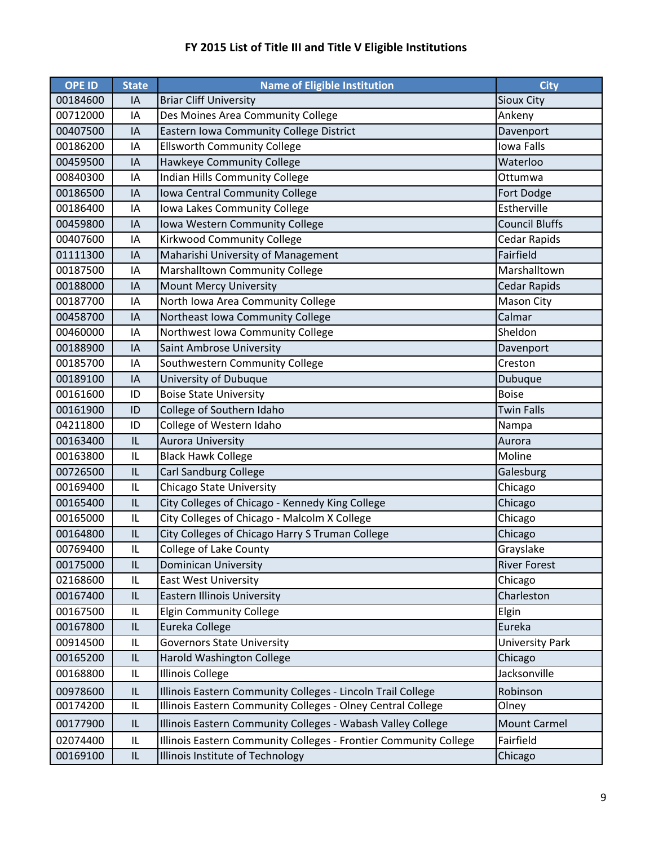| <b>OPE ID</b> | <b>State</b>                      | <b>Name of Eligible Institution</b>                              | <b>City</b>            |
|---------------|-----------------------------------|------------------------------------------------------------------|------------------------|
| 00184600      | IA                                | <b>Briar Cliff University</b>                                    | <b>Sioux City</b>      |
| 00712000      | IA                                | Des Moines Area Community College                                | Ankeny                 |
| 00407500      | IA                                | Eastern Iowa Community College District                          | Davenport              |
| 00186200      | IA                                | <b>Ellsworth Community College</b>                               | <b>Iowa Falls</b>      |
| 00459500      | IA                                | Hawkeye Community College                                        | Waterloo               |
| 00840300      | IA                                | Indian Hills Community College                                   | Ottumwa                |
| 00186500      | IA                                | Iowa Central Community College                                   | Fort Dodge             |
| 00186400      | IA                                | Iowa Lakes Community College                                     | Estherville            |
| 00459800      | IA                                | Iowa Western Community College                                   | <b>Council Bluffs</b>  |
| 00407600      | IA                                | Kirkwood Community College                                       | <b>Cedar Rapids</b>    |
| 01111300      | IA                                | Maharishi University of Management                               | Fairfield              |
| 00187500      | IA                                | Marshalltown Community College                                   | Marshalltown           |
| 00188000      | IA                                | <b>Mount Mercy University</b>                                    | <b>Cedar Rapids</b>    |
| 00187700      | IA                                | North Iowa Area Community College                                | Mason City             |
| 00458700      | IA                                | Northeast Iowa Community College                                 | Calmar                 |
| 00460000      | IA                                | Northwest Iowa Community College                                 | Sheldon                |
| 00188900      | IA                                | Saint Ambrose University                                         | Davenport              |
| 00185700      | IA                                | Southwestern Community College                                   | Creston                |
| 00189100      | IA                                | University of Dubuque                                            | Dubuque                |
| 00161600      | ID                                | <b>Boise State University</b>                                    | <b>Boise</b>           |
| 00161900      | ID                                | College of Southern Idaho                                        | <b>Twin Falls</b>      |
| 04211800      | ID                                | College of Western Idaho                                         | Nampa                  |
| 00163400      | IL                                | <b>Aurora University</b>                                         | Aurora                 |
| 00163800      | IL                                | <b>Black Hawk College</b>                                        | Moline                 |
| 00726500      | IL                                | Carl Sandburg College                                            | Galesburg              |
| 00169400      | IL                                | Chicago State University                                         | Chicago                |
| 00165400      | IL                                | City Colleges of Chicago - Kennedy King College                  | Chicago                |
| 00165000      | IL                                | City Colleges of Chicago - Malcolm X College                     | Chicago                |
| 00164800      | IL                                | City Colleges of Chicago Harry S Truman College                  | Chicago                |
| 00769400      | 1                                 | College of Lake County                                           | Grayslake              |
| 00175000      | IL                                | <b>Dominican University</b>                                      | <b>River Forest</b>    |
| 02168600      | IL                                | <b>East West University</b>                                      | Chicago                |
| 00167400      | $\ensuremath{\mathsf{IL}}\xspace$ | Eastern Illinois University                                      | Charleston             |
| 00167500      | IL                                | <b>Elgin Community College</b>                                   | Elgin                  |
| 00167800      | IL                                | Eureka College                                                   | Eureka                 |
| 00914500      | IL                                | <b>Governors State University</b>                                | <b>University Park</b> |
| 00165200      | IL                                | Harold Washington College                                        | Chicago                |
| 00168800      | IL                                | <b>Illinois College</b>                                          | Jacksonville           |
| 00978600      | IL                                | Illinois Eastern Community Colleges - Lincoln Trail College      | Robinson               |
| 00174200      | IL                                | Illinois Eastern Community Colleges - Olney Central College      | Olney                  |
| 00177900      | IL                                | Illinois Eastern Community Colleges - Wabash Valley College      | Mount Carmel           |
| 02074400      | IL                                | Illinois Eastern Community Colleges - Frontier Community College | Fairfield              |
| 00169100      | $\ensuremath{\mathsf{IL}}\xspace$ | Illinois Institute of Technology                                 | Chicago                |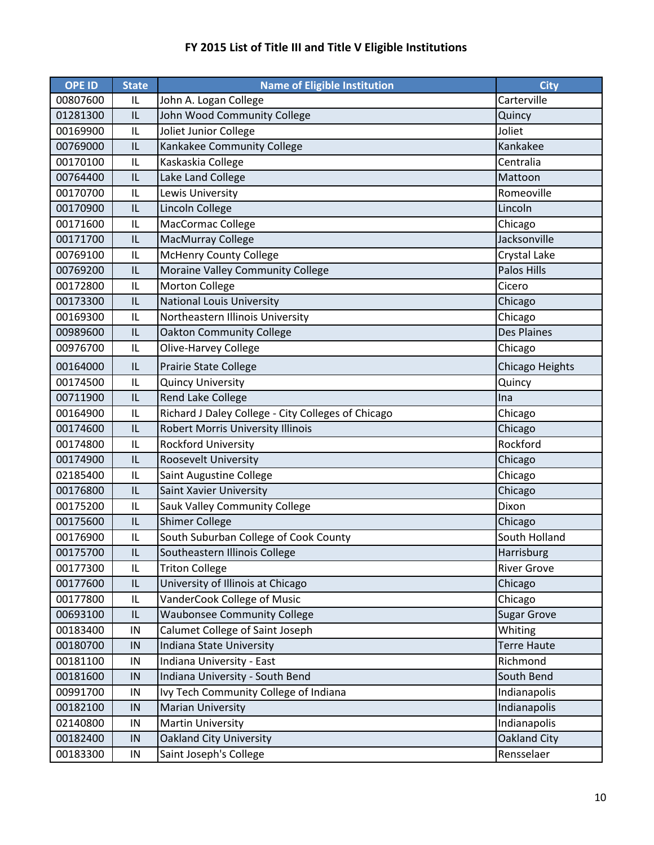| <b>OPE ID</b> | <b>State</b>                      | <b>Name of Eligible Institution</b>                | <b>City</b>        |
|---------------|-----------------------------------|----------------------------------------------------|--------------------|
| 00807600      | IL                                | John A. Logan College                              | Carterville        |
| 01281300      | IL                                | John Wood Community College                        | Quincy             |
| 00169900      | IL                                | Joliet Junior College                              | Joliet             |
| 00769000      | IL                                | Kankakee Community College                         | Kankakee           |
| 00170100      | IL                                | Kaskaskia College                                  | Centralia          |
| 00764400      | IL                                | Lake Land College                                  | Mattoon            |
| 00170700      | IL                                | Lewis University                                   | Romeoville         |
| 00170900      | IL                                | Lincoln College                                    | Lincoln            |
| 00171600      | IL                                | MacCormac College                                  | Chicago            |
| 00171700      | IL                                | MacMurray College                                  | Jacksonville       |
| 00769100      | L                                 | <b>McHenry County College</b>                      | Crystal Lake       |
| 00769200      | IL                                | Moraine Valley Community College                   | <b>Palos Hills</b> |
| 00172800      | IL                                | <b>Morton College</b>                              | Cicero             |
| 00173300      | IL                                | <b>National Louis University</b>                   | Chicago            |
| 00169300      | IL                                | Northeastern Illinois University                   | Chicago            |
| 00989600      | IL                                | <b>Oakton Community College</b>                    | <b>Des Plaines</b> |
| 00976700      | IL                                | Olive-Harvey College                               | Chicago            |
| 00164000      | IL                                | <b>Prairie State College</b>                       | Chicago Heights    |
| 00174500      | IL                                | <b>Quincy University</b>                           | Quincy             |
| 00711900      | IL                                | <b>Rend Lake College</b>                           | Ina                |
| 00164900      | IL                                | Richard J Daley College - City Colleges of Chicago | Chicago            |
| 00174600      | IL                                | Robert Morris University Illinois                  | Chicago            |
| 00174800      | IL                                | <b>Rockford University</b>                         | Rockford           |
| 00174900      | IL                                | <b>Roosevelt University</b>                        | Chicago            |
| 02185400      | IL                                | Saint Augustine College                            | Chicago            |
| 00176800      | IL                                | Saint Xavier University                            | Chicago            |
| 00175200      | IL                                | Sauk Valley Community College                      | Dixon              |
| 00175600      | IL                                | <b>Shimer College</b>                              | Chicago            |
| 00176900      | IL                                | South Suburban College of Cook County              | South Holland      |
| 00175700      | $\sf IL$                          | Southeastern Illinois College                      | Harrisburg         |
| 00177300      | IL                                | <b>Triton College</b>                              | <b>River Grove</b> |
| 00177600      | $\ensuremath{\mathsf{IL}}\xspace$ | University of Illinois at Chicago                  | Chicago            |
| 00177800      | IL                                | VanderCook College of Music                        | Chicago            |
| 00693100      | IL                                | <b>Waubonsee Community College</b>                 | <b>Sugar Grove</b> |
| 00183400      | IN                                | Calumet College of Saint Joseph                    | Whiting            |
| 00180700      | IN                                | Indiana State University                           | <b>Terre Haute</b> |
| 00181100      | IN                                | Indiana University - East                          | Richmond           |
| 00181600      | IN                                | Indiana University - South Bend                    | South Bend         |
| 00991700      | IN                                | Ivy Tech Community College of Indiana              | Indianapolis       |
| 00182100      | IN                                | <b>Marian University</b>                           | Indianapolis       |
| 02140800      | IN                                | <b>Martin University</b>                           | Indianapolis       |
| 00182400      | IN                                | <b>Oakland City University</b>                     | Oakland City       |
| 00183300      | ${\sf IN}$                        | Saint Joseph's College                             | Rensselaer         |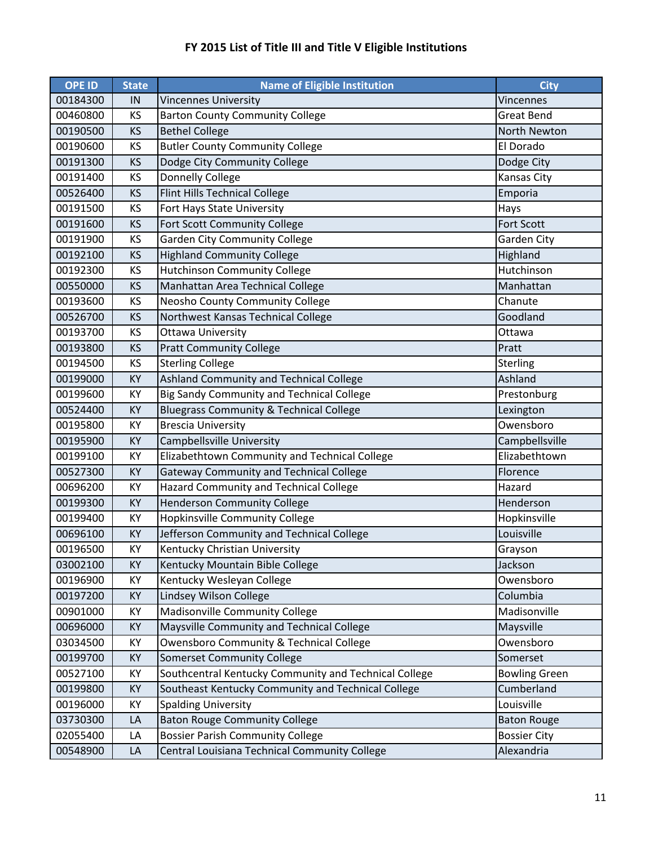| <b>OPE ID</b> | <b>State</b> | Name of Eligible Institution                          | <b>City</b>          |
|---------------|--------------|-------------------------------------------------------|----------------------|
| 00184300      | IN           | <b>Vincennes University</b>                           | <b>Vincennes</b>     |
| 00460800      | KS           | <b>Barton County Community College</b>                | <b>Great Bend</b>    |
| 00190500      | KS           | <b>Bethel College</b>                                 | North Newton         |
| 00190600      | KS           | <b>Butler County Community College</b>                | El Dorado            |
| 00191300      | KS           | Dodge City Community College                          | Dodge City           |
| 00191400      | KS           | Donnelly College                                      | Kansas City          |
| 00526400      | KS           | Flint Hills Technical College                         | Emporia              |
| 00191500      | KS           | Fort Hays State University                            | Hays                 |
| 00191600      | KS           | Fort Scott Community College                          | <b>Fort Scott</b>    |
| 00191900      | KS           | <b>Garden City Community College</b>                  | Garden City          |
| 00192100      | KS           | <b>Highland Community College</b>                     | Highland             |
| 00192300      | KS           | <b>Hutchinson Community College</b>                   | Hutchinson           |
| 00550000      | KS           | Manhattan Area Technical College                      | Manhattan            |
| 00193600      | KS           | Neosho County Community College                       | Chanute              |
| 00526700      | KS           | Northwest Kansas Technical College                    | Goodland             |
| 00193700      | KS           | Ottawa University                                     | Ottawa               |
| 00193800      | KS           | <b>Pratt Community College</b>                        | Pratt                |
| 00194500      | KS           | <b>Sterling College</b>                               | Sterling             |
| 00199000      | KY           | Ashland Community and Technical College               | Ashland              |
| 00199600      | KY           | Big Sandy Community and Technical College             | Prestonburg          |
| 00524400      | KY           | <b>Bluegrass Community &amp; Technical College</b>    | Lexington            |
| 00195800      | KY           | <b>Brescia University</b>                             | Owensboro            |
| 00195900      | KY           | Campbellsville University                             | Campbellsville       |
| 00199100      | KY           | Elizabethtown Community and Technical College         | Elizabethtown        |
| 00527300      | KY           | Gateway Community and Technical College               | Florence             |
| 00696200      | KY           | Hazard Community and Technical College                | Hazard               |
| 00199300      | KY           | <b>Henderson Community College</b>                    | Henderson            |
| 00199400      | KY           | Hopkinsville Community College                        | Hopkinsville         |
| 00696100      | KY           | Jefferson Community and Technical College             | Louisville           |
| 00196500      | KY           | Kentucky Christian University                         | Grayson              |
| 03002100      | KY           | Kentucky Mountain Bible College                       | Jackson              |
| 00196900      | KY           | Kentucky Wesleyan College                             | Owensboro            |
| 00197200      | KY           | Lindsey Wilson College                                | Columbia             |
| 00901000      | KY           | Madisonville Community College                        | Madisonville         |
| 00696000      | KY           | Maysville Community and Technical College             | Maysville            |
| 03034500      | KY           | Owensboro Community & Technical College               | Owensboro            |
| 00199700      | KY           | <b>Somerset Community College</b>                     | Somerset             |
| 00527100      | KY           | Southcentral Kentucky Community and Technical College | <b>Bowling Green</b> |
| 00199800      | KY           | Southeast Kentucky Community and Technical College    | Cumberland           |
| 00196000      | KY           | <b>Spalding University</b>                            | Louisville           |
| 03730300      | LA           | <b>Baton Rouge Community College</b>                  | <b>Baton Rouge</b>   |
| 02055400      | LA           | <b>Bossier Parish Community College</b>               | <b>Bossier City</b>  |
| 00548900      | LA           | Central Louisiana Technical Community College         | Alexandria           |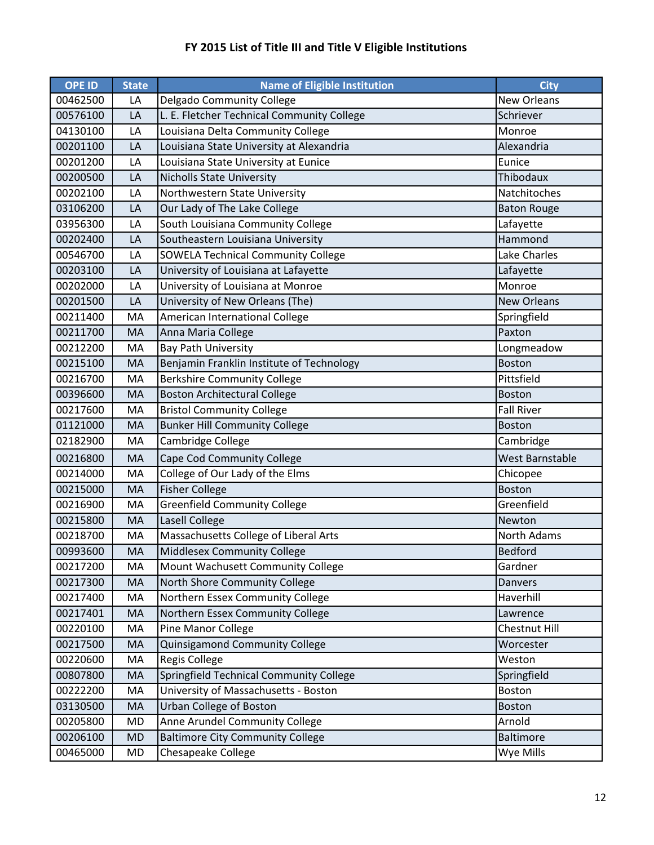| <b>OPE ID</b> | <b>State</b> | <b>Name of Eligible Institution</b>        | <b>City</b>        |
|---------------|--------------|--------------------------------------------|--------------------|
| 00462500      | LA           | Delgado Community College                  | New Orleans        |
| 00576100      | LA           | L. E. Fletcher Technical Community College | Schriever          |
| 04130100      | LA           | Louisiana Delta Community College          | Monroe             |
| 00201100      | LA           | Louisiana State University at Alexandria   | Alexandria         |
| 00201200      | LA           | Louisiana State University at Eunice       | Eunice             |
| 00200500      | LA           | <b>Nicholls State University</b>           | Thibodaux          |
| 00202100      | LA           | Northwestern State University              | Natchitoches       |
| 03106200      | LA           | Our Lady of The Lake College               | <b>Baton Rouge</b> |
| 03956300      | LA           | South Louisiana Community College          | Lafayette          |
| 00202400      | LA           | Southeastern Louisiana University          | Hammond            |
| 00546700      | LA           | <b>SOWELA Technical Community College</b>  | Lake Charles       |
| 00203100      | LA           | University of Louisiana at Lafayette       | Lafayette          |
| 00202000      | LA           | University of Louisiana at Monroe          | Monroe             |
| 00201500      | LA           | University of New Orleans (The)            | <b>New Orleans</b> |
| 00211400      | MA           | American International College             | Springfield        |
| 00211700      | MA           | Anna Maria College                         | Paxton             |
| 00212200      | MA           | <b>Bay Path University</b>                 | Longmeadow         |
| 00215100      | MA           | Benjamin Franklin Institute of Technology  | <b>Boston</b>      |
| 00216700      | MA           | <b>Berkshire Community College</b>         | Pittsfield         |
| 00396600      | MA           | <b>Boston Architectural College</b>        | Boston             |
| 00217600      | MA           | <b>Bristol Community College</b>           | <b>Fall River</b>  |
| 01121000      | MA           | <b>Bunker Hill Community College</b>       | <b>Boston</b>      |
| 02182900      | MA           | Cambridge College                          | Cambridge          |
| 00216800      | MA           | Cape Cod Community College                 | West Barnstable    |
| 00214000      | MA           | College of Our Lady of the Elms            | Chicopee           |
| 00215000      | MA           | <b>Fisher College</b>                      | <b>Boston</b>      |
| 00216900      | MA           | <b>Greenfield Community College</b>        | Greenfield         |
| 00215800      | MA           | Lasell College                             | Newton             |
| 00218700      | MA           | Massachusetts College of Liberal Arts      | North Adams        |
| 00993600      | MA           | Middlesex Community College                | <b>Bedford</b>     |
| 00217200      | МA           | Mount Wachusett Community College          | Gardner            |
| 00217300      | MA           | North Shore Community College              | Danvers            |
| 00217400      | MA           | Northern Essex Community College           | Haverhill          |
| 00217401      | MA           | Northern Essex Community College           | Lawrence           |
| 00220100      | MA           | Pine Manor College                         | Chestnut Hill      |
| 00217500      | MA           | Quinsigamond Community College             | Worcester          |
| 00220600      | MA           | <b>Regis College</b>                       | Weston             |
| 00807800      | <b>MA</b>    | Springfield Technical Community College    | Springfield        |
| 00222200      | MA           | University of Massachusetts - Boston       | <b>Boston</b>      |
| 03130500      | MA           | Urban College of Boston                    | <b>Boston</b>      |
| 00205800      | MD           | Anne Arundel Community College             | Arnold             |
| 00206100      | <b>MD</b>    | <b>Baltimore City Community College</b>    | <b>Baltimore</b>   |
| 00465000      | MD           | Chesapeake College                         | Wye Mills          |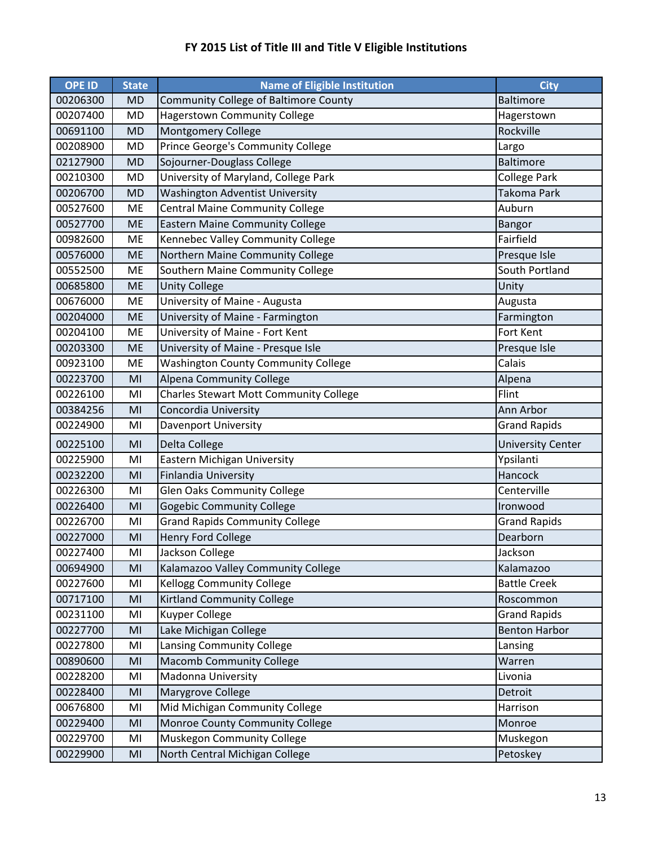| <b>OPE ID</b> | <b>State</b> | <b>Name of Eligible Institution</b>           | <b>City</b>              |
|---------------|--------------|-----------------------------------------------|--------------------------|
| 00206300      | <b>MD</b>    | Community College of Baltimore County         | <b>Baltimore</b>         |
| 00207400      | <b>MD</b>    | Hagerstown Community College                  | Hagerstown               |
| 00691100      | <b>MD</b>    | Montgomery College                            | Rockville                |
| 00208900      | <b>MD</b>    | Prince George's Community College             | Largo                    |
| 02127900      | <b>MD</b>    | Sojourner-Douglass College                    | <b>Baltimore</b>         |
| 00210300      | <b>MD</b>    | University of Maryland, College Park          | <b>College Park</b>      |
| 00206700      | <b>MD</b>    | <b>Washington Adventist University</b>        | <b>Takoma Park</b>       |
| 00527600      | ME           | <b>Central Maine Community College</b>        | Auburn                   |
| 00527700      | <b>ME</b>    | <b>Eastern Maine Community College</b>        | <b>Bangor</b>            |
| 00982600      | <b>ME</b>    | Kennebec Valley Community College             | Fairfield                |
| 00576000      | <b>ME</b>    | Northern Maine Community College              | Presque Isle             |
| 00552500      | ME           | Southern Maine Community College              | South Portland           |
| 00685800      | <b>ME</b>    | <b>Unity College</b>                          | Unity                    |
| 00676000      | ME           | University of Maine - Augusta                 | Augusta                  |
| 00204000      | <b>ME</b>    | University of Maine - Farmington              | Farmington               |
| 00204100      | ME           | University of Maine - Fort Kent               | Fort Kent                |
| 00203300      | <b>ME</b>    | University of Maine - Presque Isle            | Presque Isle             |
| 00923100      | ME           | <b>Washington County Community College</b>    | Calais                   |
| 00223700      | MI           | Alpena Community College                      | Alpena                   |
| 00226100      | MI           | <b>Charles Stewart Mott Community College</b> | Flint                    |
| 00384256      | MI           | Concordia University                          | Ann Arbor                |
| 00224900      | MI           | Davenport University                          | <b>Grand Rapids</b>      |
| 00225100      | MI           | Delta College                                 | <b>University Center</b> |
| 00225900      | MI           | Eastern Michigan University                   | Ypsilanti                |
| 00232200      | MI           | <b>Finlandia University</b>                   | Hancock                  |
| 00226300      | MI           | <b>Glen Oaks Community College</b>            | Centerville              |
| 00226400      | MI           | <b>Gogebic Community College</b>              | Ironwood                 |
| 00226700      | MI           | <b>Grand Rapids Community College</b>         | <b>Grand Rapids</b>      |
| 00227000      | MI           | Henry Ford College                            | Dearborn                 |
| 00227400      | MI           | Jackson College                               | Jackson                  |
| 00694900      | MI           | Kalamazoo Valley Community College            | Kalamazoo                |
| 00227600      | MI           | <b>Kellogg Community College</b>              | <b>Battle Creek</b>      |
| 00717100      | MI           | <b>Kirtland Community College</b>             | Roscommon                |
| 00231100      | MI           | Kuyper College                                | <b>Grand Rapids</b>      |
| 00227700      | MI           | Lake Michigan College                         | <b>Benton Harbor</b>     |
| 00227800      | MI           | Lansing Community College                     | Lansing                  |
| 00890600      | MI           | <b>Macomb Community College</b>               | Warren                   |
| 00228200      | MI           | <b>Madonna University</b>                     | Livonia                  |
| 00228400      | MI           | Marygrove College                             | Detroit                  |
| 00676800      | MI           | Mid Michigan Community College                | Harrison                 |
| 00229400      | MI           | Monroe County Community College               | Monroe                   |
| 00229700      | MI           | Muskegon Community College                    | Muskegon                 |
| 00229900      | MI           | North Central Michigan College                | Petoskey                 |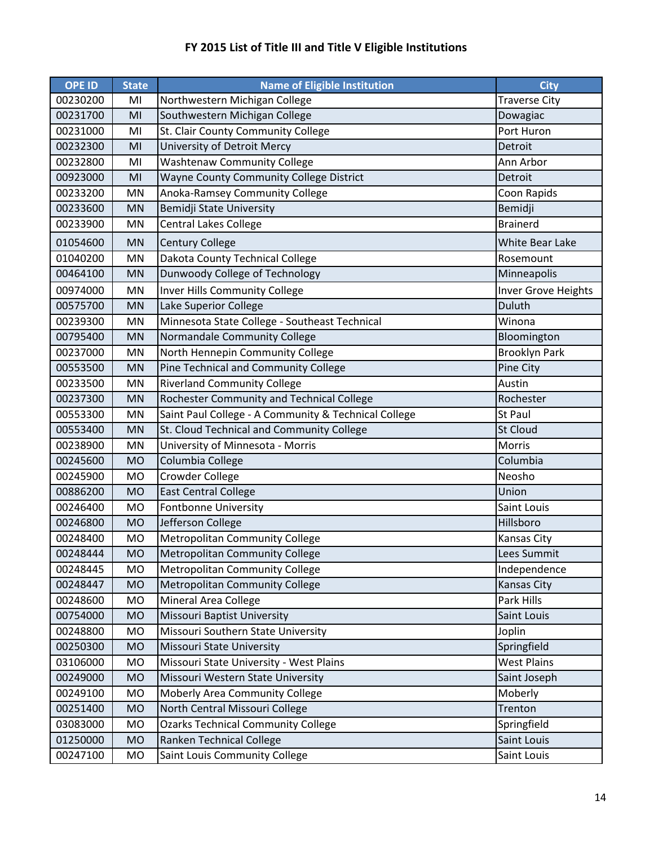| <b>OPE ID</b> | <b>State</b> | <b>Name of Eligible Institution</b>                  | <b>City</b>          |
|---------------|--------------|------------------------------------------------------|----------------------|
| 00230200      | MI           | Northwestern Michigan College                        | <b>Traverse City</b> |
| 00231700      | MI           | Southwestern Michigan College                        | Dowagiac             |
| 00231000      | MI           | St. Clair County Community College                   | Port Huron           |
| 00232300      | MI           | University of Detroit Mercy                          | Detroit              |
| 00232800      | MI           | <b>Washtenaw Community College</b>                   | Ann Arbor            |
| 00923000      | MI           | Wayne County Community College District              | Detroit              |
| 00233200      | MN           | Anoka-Ramsey Community College                       | Coon Rapids          |
| 00233600      | <b>MN</b>    | <b>Bemidji State University</b>                      | Bemidji              |
| 00233900      | MN           | <b>Central Lakes College</b>                         | <b>Brainerd</b>      |
| 01054600      | <b>MN</b>    | <b>Century College</b>                               | White Bear Lake      |
| 01040200      | MN           | Dakota County Technical College                      | Rosemount            |
| 00464100      | <b>MN</b>    | Dunwoody College of Technology                       | Minneapolis          |
| 00974000      | MN           | <b>Inver Hills Community College</b>                 | Inver Grove Heights  |
| 00575700      | <b>MN</b>    | Lake Superior College                                | <b>Duluth</b>        |
| 00239300      | MN           | Minnesota State College - Southeast Technical        | Winona               |
| 00795400      | <b>MN</b>    | Normandale Community College                         | Bloomington          |
| 00237000      | MN           | North Hennepin Community College                     | <b>Brooklyn Park</b> |
| 00553500      | <b>MN</b>    | Pine Technical and Community College                 | Pine City            |
| 00233500      | MN           | <b>Riverland Community College</b>                   | Austin               |
| 00237300      | <b>MN</b>    | Rochester Community and Technical College            | Rochester            |
| 00553300      | MN           | Saint Paul College - A Community & Technical College | St Paul              |
| 00553400      | <b>MN</b>    | St. Cloud Technical and Community College            | <b>St Cloud</b>      |
| 00238900      | MN           | University of Minnesota - Morris                     | Morris               |
| 00245600      | <b>MO</b>    | Columbia College                                     | Columbia             |
| 00245900      | <b>MO</b>    | Crowder College                                      | Neosho               |
| 00886200      | <b>MO</b>    | <b>East Central College</b>                          | Union                |
| 00246400      | <b>MO</b>    | <b>Fontbonne University</b>                          | Saint Louis          |
| 00246800      | <b>MO</b>    | Jefferson College                                    | Hillsboro            |
| 00248400      | MO           | Metropolitan Community College                       | Kansas City          |
| 00248444      | <b>MO</b>    | Metropolitan Community College                       | Lees Summit          |
| 00248445      | MO           | <b>Metropolitan Community College</b>                | Independence         |
| 00248447      | <b>MO</b>    | <b>Metropolitan Community College</b>                | <b>Kansas City</b>   |
| 00248600      | MO           | Mineral Area College                                 | Park Hills           |
| 00754000      | <b>MO</b>    | <b>Missouri Baptist University</b>                   | Saint Louis          |
| 00248800      | MO           | Missouri Southern State University                   | Joplin               |
| 00250300      | <b>MO</b>    | Missouri State University                            | Springfield          |
| 03106000      | MO           | Missouri State University - West Plains              | <b>West Plains</b>   |
| 00249000      | <b>MO</b>    | Missouri Western State University                    | Saint Joseph         |
| 00249100      | MO           | Moberly Area Community College                       | Moberly              |
| 00251400      | <b>MO</b>    | North Central Missouri College                       | Trenton              |
| 03083000      | MO           | <b>Ozarks Technical Community College</b>            | Springfield          |
| 01250000      | <b>MO</b>    | <b>Ranken Technical College</b>                      | Saint Louis          |
| 00247100      | MO           | Saint Louis Community College                        | Saint Louis          |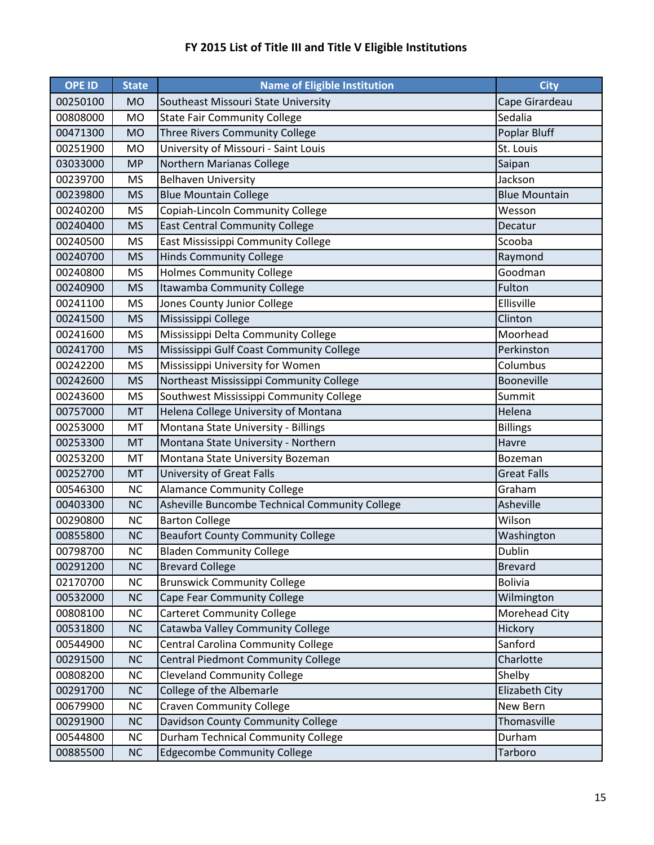| <b>OPE ID</b> | <b>State</b> | <b>Name of Eligible Institution</b>            | <b>City</b>          |
|---------------|--------------|------------------------------------------------|----------------------|
| 00250100      | <b>MO</b>    | Southeast Missouri State University            | Cape Girardeau       |
| 00808000      | <b>MO</b>    | <b>State Fair Community College</b>            | Sedalia              |
| 00471300      | <b>MO</b>    | Three Rivers Community College                 | Poplar Bluff         |
| 00251900      | <b>MO</b>    | University of Missouri - Saint Louis           | St. Louis            |
| 03033000      | <b>MP</b>    | Northern Marianas College                      | Saipan               |
| 00239700      | <b>MS</b>    | <b>Belhaven University</b>                     | Jackson              |
| 00239800      | <b>MS</b>    | <b>Blue Mountain College</b>                   | <b>Blue Mountain</b> |
| 00240200      | <b>MS</b>    | Copiah-Lincoln Community College               | Wesson               |
| 00240400      | <b>MS</b>    | <b>East Central Community College</b>          | Decatur              |
| 00240500      | <b>MS</b>    | East Mississippi Community College             | Scooba               |
| 00240700      | <b>MS</b>    | <b>Hinds Community College</b>                 | Raymond              |
| 00240800      | <b>MS</b>    | <b>Holmes Community College</b>                | Goodman              |
| 00240900      | <b>MS</b>    | Itawamba Community College                     | Fulton               |
| 00241100      | <b>MS</b>    | Jones County Junior College                    | Ellisville           |
| 00241500      | <b>MS</b>    | Mississippi College                            | Clinton              |
| 00241600      | <b>MS</b>    | Mississippi Delta Community College            | Moorhead             |
| 00241700      | <b>MS</b>    | Mississippi Gulf Coast Community College       | Perkinston           |
| 00242200      | <b>MS</b>    | Mississippi University for Women               | Columbus             |
| 00242600      | <b>MS</b>    | Northeast Mississippi Community College        | Booneville           |
| 00243600      | <b>MS</b>    | Southwest Mississippi Community College        | Summit               |
| 00757000      | MT           | Helena College University of Montana           | Helena               |
| 00253000      | MT           | Montana State University - Billings            | <b>Billings</b>      |
| 00253300      | MT           | Montana State University - Northern            | Havre                |
| 00253200      | MT           | Montana State University Bozeman               | Bozeman              |
| 00252700      | MT           | University of Great Falls                      | <b>Great Falls</b>   |
| 00546300      | <b>NC</b>    | <b>Alamance Community College</b>              | Graham               |
| 00403300      | <b>NC</b>    | Asheville Buncombe Technical Community College | Asheville            |
| 00290800      | <b>NC</b>    | <b>Barton College</b>                          | Wilson               |
| 00855800      | <b>NC</b>    | <b>Beaufort County Community College</b>       | Washington           |
| 00798700      | <b>NC</b>    | <b>Bladen Community College</b>                | Dublin               |
| 00291200      | <b>NC</b>    | <b>Brevard College</b>                         | <b>Brevard</b>       |
| 02170700      | NC           | <b>Brunswick Community College</b>             | <b>Bolivia</b>       |
| 00532000      | <b>NC</b>    | Cape Fear Community College                    | Wilmington           |
| 00808100      | NC           | <b>Carteret Community College</b>              | Morehead City        |
| 00531800      | <b>NC</b>    | Catawba Valley Community College               | Hickory              |
| 00544900      | NC           | Central Carolina Community College             | Sanford              |
| 00291500      | <b>NC</b>    | Central Piedmont Community College             | Charlotte            |
| 00808200      | NC           | <b>Cleveland Community College</b>             | Shelby               |
| 00291700      | NC           | College of the Albemarle                       | Elizabeth City       |
| 00679900      | NC           | <b>Craven Community College</b>                | New Bern             |
| 00291900      | NC           | Davidson County Community College              | Thomasville          |
| 00544800      | NC           | Durham Technical Community College             | Durham               |
| 00885500      | NC           | <b>Edgecombe Community College</b>             | Tarboro              |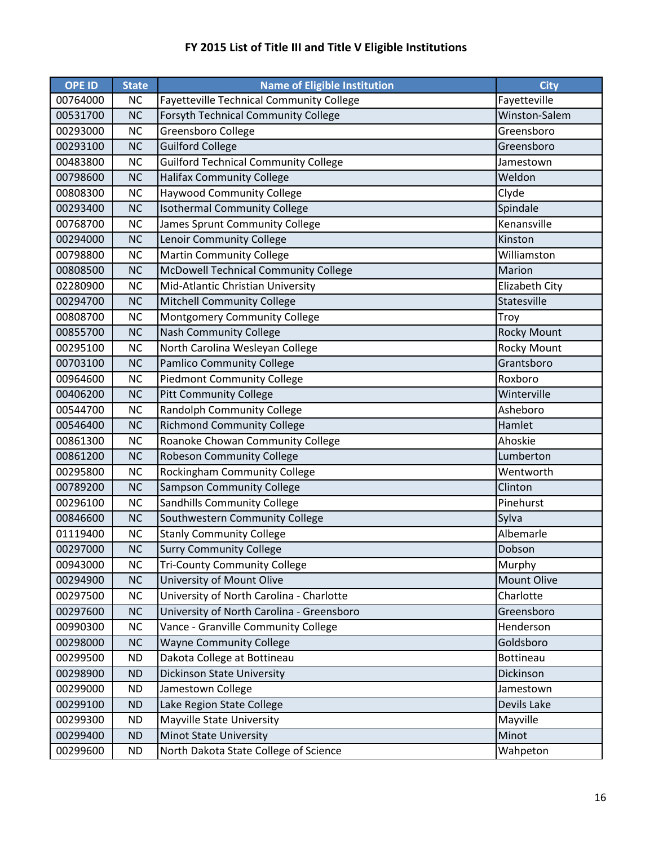| <b>OPE ID</b> | <b>State</b> | <b>Name of Eligible Institution</b>             | <b>City</b>        |
|---------------|--------------|-------------------------------------------------|--------------------|
| 00764000      | <b>NC</b>    | <b>Fayetteville Technical Community College</b> | Fayetteville       |
| 00531700      | <b>NC</b>    | <b>Forsyth Technical Community College</b>      | Winston-Salem      |
| 00293000      | <b>NC</b>    | Greensboro College                              | Greensboro         |
| 00293100      | <b>NC</b>    | <b>Guilford College</b>                         | Greensboro         |
| 00483800      | <b>NC</b>    | <b>Guilford Technical Community College</b>     | Jamestown          |
| 00798600      | <b>NC</b>    | <b>Halifax Community College</b>                | Weldon             |
| 00808300      | <b>NC</b>    | <b>Haywood Community College</b>                | Clyde              |
| 00293400      | <b>NC</b>    | <b>Isothermal Community College</b>             | Spindale           |
| 00768700      | <b>NC</b>    | James Sprunt Community College                  | Kenansville        |
| 00294000      | <b>NC</b>    | Lenoir Community College                        | Kinston            |
| 00798800      | NC           | <b>Martin Community College</b>                 | Williamston        |
| 00808500      | <b>NC</b>    | McDowell Technical Community College            | Marion             |
| 02280900      | <b>NC</b>    | Mid-Atlantic Christian University               | Elizabeth City     |
| 00294700      | <b>NC</b>    | <b>Mitchell Community College</b>               | Statesville        |
| 00808700      | <b>NC</b>    | Montgomery Community College                    | Troy               |
| 00855700      | <b>NC</b>    | <b>Nash Community College</b>                   | <b>Rocky Mount</b> |
| 00295100      | <b>NC</b>    | North Carolina Wesleyan College                 | <b>Rocky Mount</b> |
| 00703100      | <b>NC</b>    | <b>Pamlico Community College</b>                | Grantsboro         |
| 00964600      | <b>NC</b>    | <b>Piedmont Community College</b>               | Roxboro            |
| 00406200      | <b>NC</b>    | <b>Pitt Community College</b>                   | Winterville        |
| 00544700      | <b>NC</b>    | Randolph Community College                      | Asheboro           |
| 00546400      | <b>NC</b>    | <b>Richmond Community College</b>               | Hamlet             |
| 00861300      | <b>NC</b>    | Roanoke Chowan Community College                | Ahoskie            |
| 00861200      | <b>NC</b>    | <b>Robeson Community College</b>                | Lumberton          |
| 00295800      | <b>NC</b>    | Rockingham Community College                    | Wentworth          |
| 00789200      | <b>NC</b>    | <b>Sampson Community College</b>                | Clinton            |
| 00296100      | <b>NC</b>    | Sandhills Community College                     | Pinehurst          |
| 00846600      | <b>NC</b>    | Southwestern Community College                  | Sylva              |
| 01119400      | <b>NC</b>    | <b>Stanly Community College</b>                 | Albemarle          |
| 00297000      | <b>NC</b>    | <b>Surry Community College</b>                  | Dobson             |
| 00943000      | <b>NC</b>    | <b>Tri-County Community College</b>             | Murphy             |
| 00294900      | <b>NC</b>    | University of Mount Olive                       | Mount Olive        |
| 00297500      | NC           | University of North Carolina - Charlotte        | Charlotte          |
| 00297600      | <b>NC</b>    | University of North Carolina - Greensboro       | Greensboro         |
| 00990300      | NC           | Vance - Granville Community College             | Henderson          |
| 00298000      | <b>NC</b>    | <b>Wayne Community College</b>                  | Goldsboro          |
| 00299500      | <b>ND</b>    | Dakota College at Bottineau                     | Bottineau          |
| 00298900      | <b>ND</b>    | <b>Dickinson State University</b>               | Dickinson          |
| 00299000      | <b>ND</b>    | Jamestown College                               | Jamestown          |
| 00299100      | <b>ND</b>    | Lake Region State College                       | Devils Lake        |
| 00299300      | <b>ND</b>    | <b>Mayville State University</b>                | Mayville           |
| 00299400      | <b>ND</b>    | <b>Minot State University</b>                   | Minot              |
| 00299600      | <b>ND</b>    | North Dakota State College of Science           | Wahpeton           |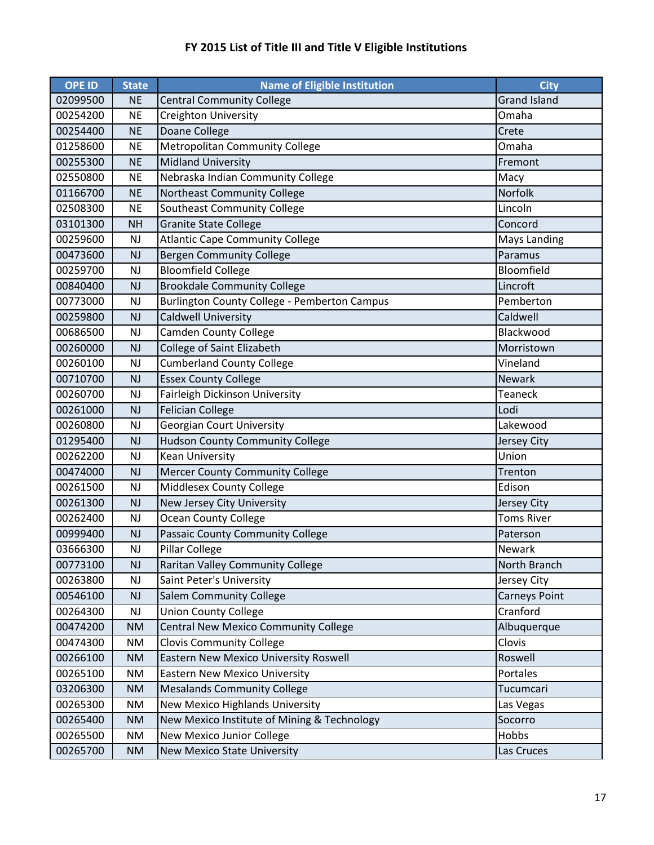| <b>OPE ID</b> | <b>State</b>  | <b>Name of Eligible Institution</b>          | <b>City</b>          |
|---------------|---------------|----------------------------------------------|----------------------|
| 02099500      | <b>NE</b>     | <b>Central Community College</b>             | <b>Grand Island</b>  |
| 00254200      | <b>NE</b>     | Creighton University                         | Omaha                |
| 00254400      | <b>NE</b>     | Doane College                                | Crete                |
| 01258600      | <b>NE</b>     | Metropolitan Community College               | Omaha                |
| 00255300      | <b>NE</b>     | <b>Midland University</b>                    | Fremont              |
| 02550800      | <b>NE</b>     | Nebraska Indian Community College            | Macy                 |
| 01166700      | <b>NE</b>     | Northeast Community College                  | Norfolk              |
| 02508300      | <b>NE</b>     | Southeast Community College                  | Lincoln              |
| 03101300      | <b>NH</b>     | <b>Granite State College</b>                 | Concord              |
| 00259600      | NJ            | <b>Atlantic Cape Community College</b>       | <b>Mays Landing</b>  |
| 00473600      | NJ            | <b>Bergen Community College</b>              | Paramus              |
| 00259700      | NJ            | <b>Bloomfield College</b>                    | Bloomfield           |
| 00840400      | NJ            | <b>Brookdale Community College</b>           | Lincroft             |
| 00773000      | <b>NJ</b>     | Burlington County College - Pemberton Campus | Pemberton            |
| 00259800      | <b>NJ</b>     | <b>Caldwell University</b>                   | Caldwell             |
| 00686500      | NJ            | <b>Camden County College</b>                 | Blackwood            |
| 00260000      | NJ            | College of Saint Elizabeth                   | Morristown           |
| 00260100      | NJ            | <b>Cumberland County College</b>             | Vineland             |
| 00710700      | NJ            | <b>Essex County College</b>                  | <b>Newark</b>        |
| 00260700      | <b>NJ</b>     | Fairleigh Dickinson University               | <b>Teaneck</b>       |
| 00261000      | <b>NJ</b>     | <b>Felician College</b>                      | Lodi                 |
| 00260800      | <b>NJ</b>     | <b>Georgian Court University</b>             | Lakewood             |
| 01295400      | NJ            | <b>Hudson County Community College</b>       | Jersey City          |
| 00262200      | NJ            | <b>Kean University</b>                       | Union                |
| 00474000      | <b>NJ</b>     | <b>Mercer County Community College</b>       | Trenton              |
| 00261500      | NJ            | Middlesex County College                     | Edison               |
| 00261300      | <b>NJ</b>     | New Jersey City University                   | Jersey City          |
| 00262400      | <b>NJ</b>     | <b>Ocean County College</b>                  | <b>Toms River</b>    |
| 00999400      | <b>NJ</b>     | Passaic County Community College             | Paterson             |
| 03666300      | NJ            | <b>Pillar College</b>                        | Newark               |
| 00773100      | NJ            | <b>Raritan Valley Community College</b>      | North Branch         |
| 00263800      | $\mathsf{NJ}$ | Saint Peter's University                     | Jersey City          |
| 00546100      | NJ            | <b>Salem Community College</b>               | <b>Carneys Point</b> |
| 00264300      | NJ            | <b>Union County College</b>                  | Cranford             |
| 00474200      | <b>NM</b>     | Central New Mexico Community College         | Albuquerque          |
| 00474300      | <b>NM</b>     | <b>Clovis Community College</b>              | Clovis               |
| 00266100      | <b>NM</b>     | Eastern New Mexico University Roswell        | Roswell              |
| 00265100      | <b>NM</b>     | <b>Eastern New Mexico University</b>         | Portales             |
| 03206300      | <b>NM</b>     | <b>Mesalands Community College</b>           | Tucumcari            |
| 00265300      | <b>NM</b>     | New Mexico Highlands University              | Las Vegas            |
| 00265400      | <b>NM</b>     | New Mexico Institute of Mining & Technology  | Socorro              |
| 00265500      | <b>NM</b>     | New Mexico Junior College                    | Hobbs                |
| 00265700      | <b>NM</b>     | New Mexico State University                  | Las Cruces           |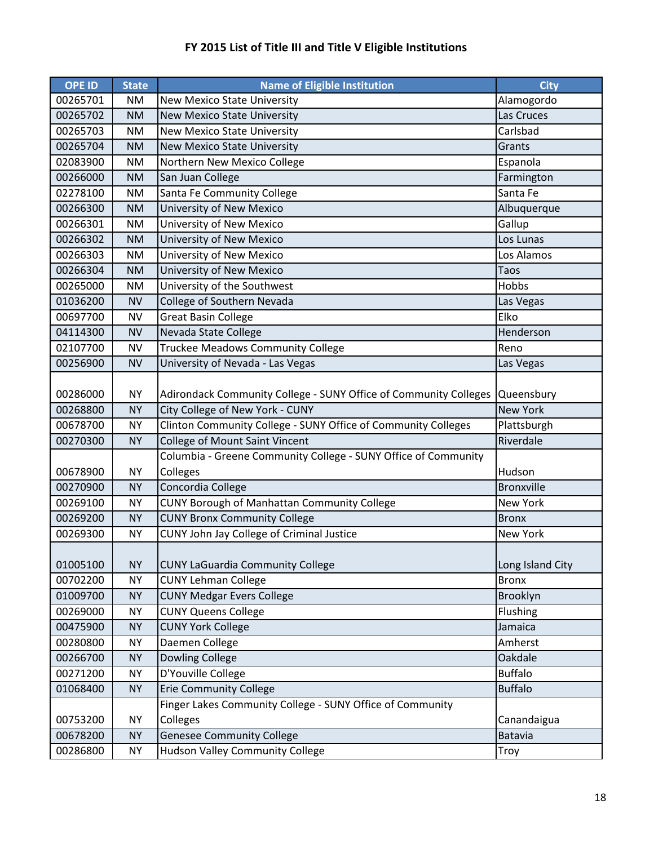| <b>OPE ID</b> | <b>State</b> | <b>Name of Eligible Institution</b>                              | <b>City</b>       |
|---------------|--------------|------------------------------------------------------------------|-------------------|
| 00265701      | <b>NM</b>    | <b>New Mexico State University</b>                               | Alamogordo        |
| 00265702      | <b>NM</b>    | <b>New Mexico State University</b>                               | Las Cruces        |
| 00265703      | <b>NM</b>    | <b>New Mexico State University</b>                               | Carlsbad          |
| 00265704      | <b>NM</b>    | <b>New Mexico State University</b>                               | Grants            |
| 02083900      | <b>NM</b>    | Northern New Mexico College                                      | Espanola          |
| 00266000      | <b>NM</b>    | San Juan College                                                 | Farmington        |
| 02278100      | <b>NM</b>    | Santa Fe Community College                                       | Santa Fe          |
| 00266300      | <b>NM</b>    | University of New Mexico                                         | Albuquerque       |
| 00266301      | <b>NM</b>    | University of New Mexico                                         | Gallup            |
| 00266302      | <b>NM</b>    | University of New Mexico                                         | Los Lunas         |
| 00266303      | <b>NM</b>    | University of New Mexico                                         | Los Alamos        |
| 00266304      | <b>NM</b>    | University of New Mexico                                         | Taos              |
| 00265000      | <b>NM</b>    | University of the Southwest                                      | Hobbs             |
| 01036200      | <b>NV</b>    | College of Southern Nevada                                       | Las Vegas         |
| 00697700      | <b>NV</b>    | <b>Great Basin College</b>                                       | Elko              |
| 04114300      | <b>NV</b>    | Nevada State College                                             | Henderson         |
| 02107700      | <b>NV</b>    | <b>Truckee Meadows Community College</b>                         | Reno              |
| 00256900      | <b>NV</b>    | University of Nevada - Las Vegas                                 | Las Vegas         |
|               |              |                                                                  |                   |
| 00286000      | <b>NY</b>    | Adirondack Community College - SUNY Office of Community Colleges | Queensbury        |
| 00268800      | <b>NY</b>    | City College of New York - CUNY                                  | <b>New York</b>   |
| 00678700      | <b>NY</b>    | Clinton Community College - SUNY Office of Community Colleges    | Plattsburgh       |
| 00270300      | <b>NY</b>    | College of Mount Saint Vincent                                   | Riverdale         |
|               |              | Columbia - Greene Community College - SUNY Office of Community   |                   |
| 00678900      | <b>NY</b>    | Colleges                                                         | Hudson            |
| 00270900      | <b>NY</b>    | Concordia College                                                | <b>Bronxville</b> |
| 00269100      | <b>NY</b>    | <b>CUNY Borough of Manhattan Community College</b>               | New York          |
| 00269200      | <b>NY</b>    | <b>CUNY Bronx Community College</b>                              | <b>Bronx</b>      |
| 00269300      | <b>NY</b>    | CUNY John Jay College of Criminal Justice                        | New York          |
|               |              |                                                                  |                   |
| 01005100      | <b>NY</b>    | <b>CUNY LaGuardia Community College</b>                          | Long Island City  |
| 00702200      | <b>NY</b>    | <b>CUNY Lehman College</b>                                       | <b>Bronx</b>      |
| 01009700      | <b>NY</b>    | <b>CUNY Medgar Evers College</b>                                 | Brooklyn          |
| 00269000      | <b>NY</b>    | <b>CUNY Queens College</b>                                       | Flushing          |
| 00475900      | <b>NY</b>    | <b>CUNY York College</b>                                         | Jamaica           |
| 00280800      | <b>NY</b>    | Daemen College                                                   | Amherst           |
| 00266700      | <b>NY</b>    | <b>Dowling College</b>                                           | Oakdale           |
| 00271200      | <b>NY</b>    | D'Youville College                                               | <b>Buffalo</b>    |
| 01068400      | <b>NY</b>    | <b>Erie Community College</b>                                    | <b>Buffalo</b>    |
|               |              | Finger Lakes Community College - SUNY Office of Community        |                   |
| 00753200      | <b>NY</b>    | Colleges                                                         | Canandaigua       |
| 00678200      | <b>NY</b>    | <b>Genesee Community College</b>                                 | Batavia           |
| 00286800      | <b>NY</b>    | <b>Hudson Valley Community College</b>                           | Troy              |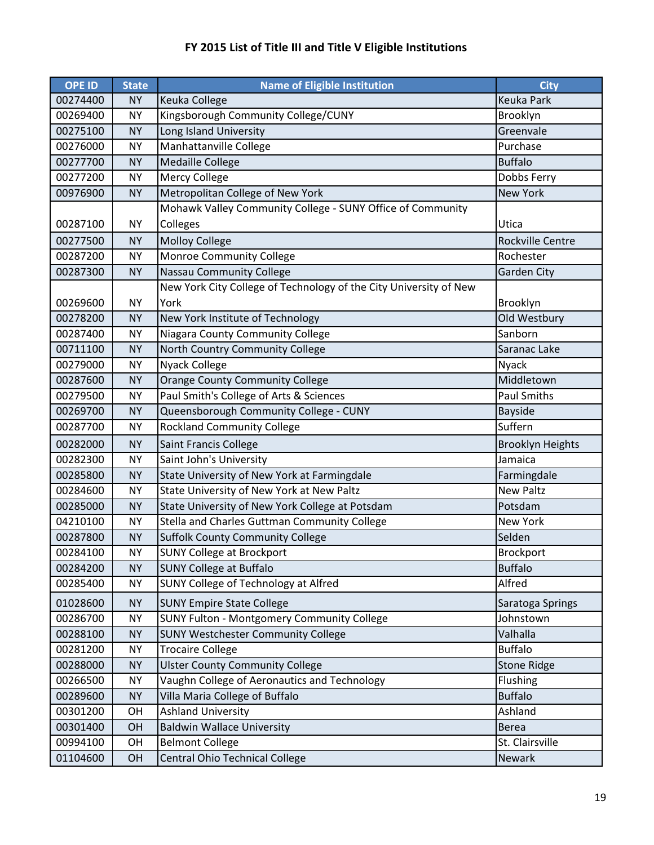| <b>OPE ID</b> | <b>State</b> | <b>Name of Eligible Institution</b>                               | <b>City</b>             |
|---------------|--------------|-------------------------------------------------------------------|-------------------------|
| 00274400      | <b>NY</b>    | Keuka College                                                     | <b>Keuka Park</b>       |
| 00269400      | <b>NY</b>    | Kingsborough Community College/CUNY                               | Brooklyn                |
| 00275100      | <b>NY</b>    | Long Island University                                            | Greenvale               |
| 00276000      | <b>NY</b>    | Manhattanville College                                            | Purchase                |
| 00277700      | <b>NY</b>    | <b>Medaille College</b>                                           | <b>Buffalo</b>          |
| 00277200      | <b>NY</b>    | Mercy College                                                     | Dobbs Ferry             |
| 00976900      | <b>NY</b>    | Metropolitan College of New York                                  | <b>New York</b>         |
|               |              | Mohawk Valley Community College - SUNY Office of Community        |                         |
| 00287100      | <b>NY</b>    | Colleges                                                          | Utica                   |
| 00277500      | <b>NY</b>    | <b>Molloy College</b>                                             | <b>Rockville Centre</b> |
| 00287200      | <b>NY</b>    | Monroe Community College                                          | Rochester               |
| 00287300      | <b>NY</b>    | <b>Nassau Community College</b>                                   | Garden City             |
|               |              | New York City College of Technology of the City University of New |                         |
| 00269600      | <b>NY</b>    | York                                                              | Brooklyn                |
| 00278200      | <b>NY</b>    | New York Institute of Technology                                  | Old Westbury            |
| 00287400      | <b>NY</b>    | Niagara County Community College                                  | Sanborn                 |
| 00711100      | <b>NY</b>    | North Country Community College                                   | Saranac Lake            |
| 00279000      | <b>NY</b>    | <b>Nyack College</b>                                              | <b>Nyack</b>            |
| 00287600      | <b>NY</b>    | <b>Orange County Community College</b>                            | Middletown              |
| 00279500      | <b>NY</b>    | Paul Smith's College of Arts & Sciences                           | Paul Smiths             |
| 00269700      | <b>NY</b>    | Queensborough Community College - CUNY                            | <b>Bayside</b>          |
| 00287700      | <b>NY</b>    | <b>Rockland Community College</b>                                 | Suffern                 |
| 00282000      | <b>NY</b>    | Saint Francis College                                             | <b>Brooklyn Heights</b> |
| 00282300      | <b>NY</b>    | Saint John's University                                           | Jamaica                 |
| 00285800      | <b>NY</b>    | State University of New York at Farmingdale                       | Farmingdale             |
| 00284600      | <b>NY</b>    | State University of New York at New Paltz                         | <b>New Paltz</b>        |
| 00285000      | <b>NY</b>    | State University of New York College at Potsdam                   | Potsdam                 |
| 04210100      | <b>NY</b>    | Stella and Charles Guttman Community College                      | <b>New York</b>         |
| 00287800      | <b>NY</b>    | <b>Suffolk County Community College</b>                           | Selden                  |
| 00284100      | <b>NY</b>    | <b>SUNY College at Brockport</b>                                  | Brockport               |
| 00284200      | <b>NY</b>    | <b>SUNY College at Buffalo</b>                                    | <b>Buffalo</b>          |
| 00285400      | <b>NY</b>    | SUNY College of Technology at Alfred                              | Alfred                  |
| 01028600      | <b>NY</b>    | <b>SUNY Empire State College</b>                                  | Saratoga Springs        |
| 00286700      | <b>NY</b>    | SUNY Fulton - Montgomery Community College                        | Johnstown               |
| 00288100      | <b>NY</b>    | <b>SUNY Westchester Community College</b>                         | Valhalla                |
| 00281200      | <b>NY</b>    | <b>Trocaire College</b>                                           | <b>Buffalo</b>          |
| 00288000      | <b>NY</b>    | <b>Ulster County Community College</b>                            | <b>Stone Ridge</b>      |
| 00266500      | NY           | Vaughn College of Aeronautics and Technology                      | Flushing                |
| 00289600      | <b>NY</b>    | Villa Maria College of Buffalo                                    | <b>Buffalo</b>          |
| 00301200      | OH           | <b>Ashland University</b>                                         | Ashland                 |
| 00301400      | OH           | <b>Baldwin Wallace University</b>                                 | <b>Berea</b>            |
| 00994100      | OH           | <b>Belmont College</b>                                            | St. Clairsville         |
| 01104600      | OH           | Central Ohio Technical College                                    | Newark                  |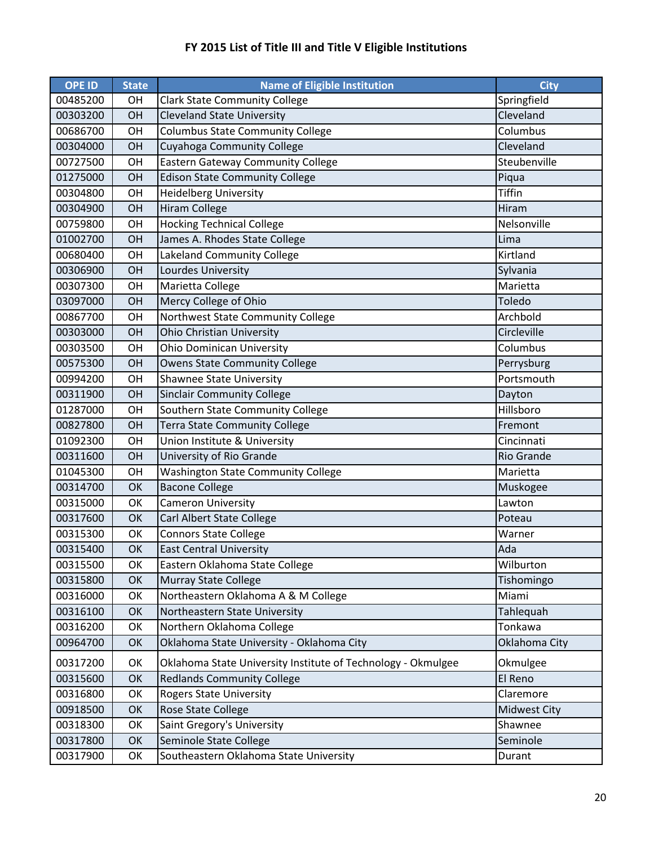| <b>OPE ID</b> | <b>State</b> | <b>Name of Eligible Institution</b>                          | <b>City</b>         |
|---------------|--------------|--------------------------------------------------------------|---------------------|
| 00485200      | <b>OH</b>    | <b>Clark State Community College</b>                         | Springfield         |
| 00303200      | OH           | <b>Cleveland State University</b>                            | Cleveland           |
| 00686700      | OH           | <b>Columbus State Community College</b>                      | Columbus            |
| 00304000      | OH           | Cuyahoga Community College                                   | Cleveland           |
| 00727500      | OH           | <b>Eastern Gateway Community College</b>                     | Steubenville        |
| 01275000      | OH           | <b>Edison State Community College</b>                        | Piqua               |
| 00304800      | OH           | <b>Heidelberg University</b>                                 | <b>Tiffin</b>       |
| 00304900      | OH           | Hiram College                                                | Hiram               |
| 00759800      | OH           | <b>Hocking Technical College</b>                             | Nelsonville         |
| 01002700      | OH           | James A. Rhodes State College                                | Lima                |
| 00680400      | OH           | Lakeland Community College                                   | Kirtland            |
| 00306900      | OH           | Lourdes University                                           | Sylvania            |
| 00307300      | OH           | Marietta College                                             | Marietta            |
| 03097000      | OH           | Mercy College of Ohio                                        | Toledo              |
| 00867700      | OH           | Northwest State Community College                            | Archbold            |
| 00303000      | OH           | Ohio Christian University                                    | Circleville         |
| 00303500      | OH           | <b>Ohio Dominican University</b>                             | Columbus            |
| 00575300      | OH           | <b>Owens State Community College</b>                         | Perrysburg          |
| 00994200      | OH           | <b>Shawnee State University</b>                              | Portsmouth          |
| 00311900      | OH           | <b>Sinclair Community College</b>                            | Dayton              |
| 01287000      | OH           | Southern State Community College                             | Hillsboro           |
| 00827800      | OH           | Terra State Community College                                | Fremont             |
| 01092300      | OH           | Union Institute & University                                 | Cincinnati          |
| 00311600      | OH           | University of Rio Grande                                     | <b>Rio Grande</b>   |
| 01045300      | OH           | <b>Washington State Community College</b>                    | Marietta            |
| 00314700      | OK           | <b>Bacone College</b>                                        | Muskogee            |
| 00315000      | OK           | <b>Cameron University</b>                                    | Lawton              |
| 00317600      | OK           | Carl Albert State College                                    | Poteau              |
| 00315300      | OK           | <b>Connors State College</b>                                 | Warner              |
| 00315400      | OK           | <b>East Central University</b>                               | Ada                 |
| 00315500      | OK           | Eastern Oklahoma State College                               | Wilburton           |
| 00315800      | OK           | <b>Murray State College</b>                                  | Tishomingo          |
| 00316000      | OK           | Northeastern Oklahoma A & M College                          | Miami               |
| 00316100      | OK           | Northeastern State University                                | Tahlequah           |
| 00316200      | OK           | Northern Oklahoma College                                    | Tonkawa             |
| 00964700      | OK           | Oklahoma State University - Oklahoma City                    | Oklahoma City       |
| 00317200      | OK           | Oklahoma State University Institute of Technology - Okmulgee | Okmulgee            |
| 00315600      | OK           | <b>Redlands Community College</b>                            | El Reno             |
| 00316800      | OK           | <b>Rogers State University</b>                               | Claremore           |
| 00918500      | OK           | Rose State College                                           | <b>Midwest City</b> |
| 00318300      | OK           | Saint Gregory's University                                   | Shawnee             |
| 00317800      | OK           | Seminole State College                                       | Seminole            |
| 00317900      | OK           | Southeastern Oklahoma State University                       | Durant              |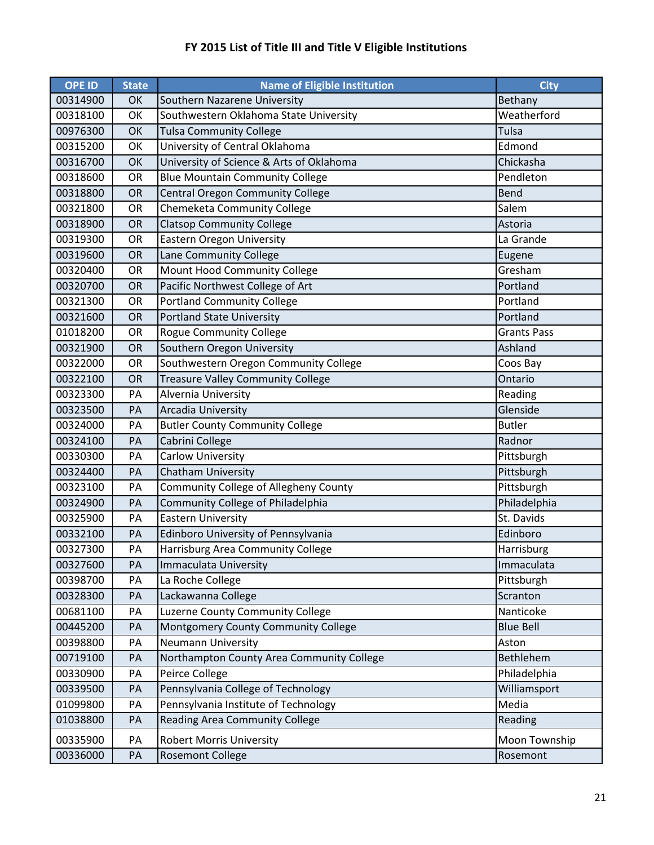| <b>OPE ID</b> | <b>State</b> | <b>Name of Eligible Institution</b>       | <b>City</b>        |
|---------------|--------------|-------------------------------------------|--------------------|
| 00314900      | OK           | Southern Nazarene University              | Bethany            |
| 00318100      | OK           | Southwestern Oklahoma State University    | Weatherford        |
| 00976300      | OK           | <b>Tulsa Community College</b>            | Tulsa              |
| 00315200      | OK           | University of Central Oklahoma            | Edmond             |
| 00316700      | OK           | University of Science & Arts of Oklahoma  | Chickasha          |
| 00318600      | OR           | <b>Blue Mountain Community College</b>    | Pendleton          |
| 00318800      | OR           | Central Oregon Community College          | <b>Bend</b>        |
| 00321800      | OR           | Chemeketa Community College               | Salem              |
| 00318900      | OR           | <b>Clatsop Community College</b>          | Astoria            |
| 00319300      | OR           | <b>Eastern Oregon University</b>          | La Grande          |
| 00319600      | OR           | Lane Community College                    | Eugene             |
| 00320400      | OR           | Mount Hood Community College              | Gresham            |
| 00320700      | OR           | Pacific Northwest College of Art          | Portland           |
| 00321300      | OR           | Portland Community College                | Portland           |
| 00321600      | OR           | <b>Portland State University</b>          | Portland           |
| 01018200      | OR           | <b>Rogue Community College</b>            | <b>Grants Pass</b> |
| 00321900      | OR           | Southern Oregon University                | Ashland            |
| 00322000      | OR           | Southwestern Oregon Community College     | Coos Bay           |
| 00322100      | OR           | <b>Treasure Valley Community College</b>  | Ontario            |
| 00323300      | PA           | Alvernia University                       | Reading            |
| 00323500      | PA           | Arcadia University                        | Glenside           |
| 00324000      | PA           | <b>Butler County Community College</b>    | <b>Butler</b>      |
| 00324100      | PA           | Cabrini College                           | Radnor             |
| 00330300      | PA           | Carlow University                         | Pittsburgh         |
| 00324400      | PA           | Chatham University                        | Pittsburgh         |
| 00323100      | PA           | Community College of Allegheny County     | Pittsburgh         |
| 00324900      | PA           | Community College of Philadelphia         | Philadelphia       |
| 00325900      | PA           | <b>Eastern University</b>                 | St. Davids         |
| 00332100      | PA           | Edinboro University of Pennsylvania       | Edinboro           |
| 00327300      | PA           | Harrisburg Area Community College         | Harrisburg         |
| 00327600      | PA           | Immaculata University                     | Immaculata         |
| 00398700      | PA           | La Roche College                          | Pittsburgh         |
| 00328300      | PA           | Lackawanna College                        | Scranton           |
| 00681100      | PA           | Luzerne County Community College          | Nanticoke          |
| 00445200      | PA           | Montgomery County Community College       | <b>Blue Bell</b>   |
| 00398800      | PA           | <b>Neumann University</b>                 | Aston              |
| 00719100      | PA           | Northampton County Area Community College | Bethlehem          |
| 00330900      | PA           | Peirce College                            | Philadelphia       |
| 00339500      | PA           | Pennsylvania College of Technology        | Williamsport       |
| 01099800      | PA           | Pennsylvania Institute of Technology      | Media              |
| 01038800      | PA           | <b>Reading Area Community College</b>     | Reading            |
| 00335900      | PA           | <b>Robert Morris University</b>           | Moon Township      |
| 00336000      | PA           | <b>Rosemont College</b>                   | Rosemont           |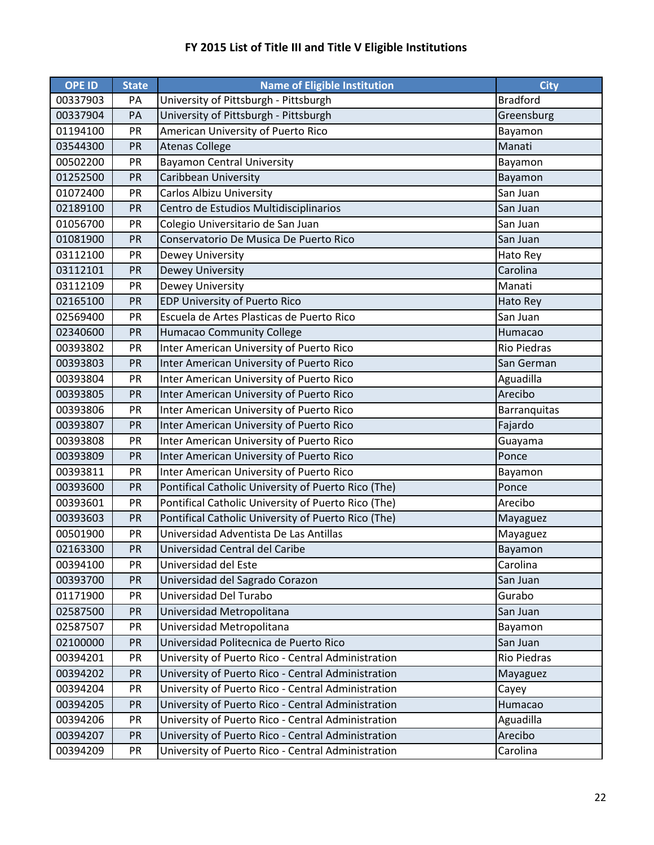| <b>OPE ID</b> | <b>State</b> | <b>Name of Eligible Institution</b>                 | <b>City</b>        |
|---------------|--------------|-----------------------------------------------------|--------------------|
| 00337903      | PA           | University of Pittsburgh - Pittsburgh               | <b>Bradford</b>    |
| 00337904      | PA           | University of Pittsburgh - Pittsburgh               | Greensburg         |
| 01194100      | PR           | American University of Puerto Rico                  | Bayamon            |
| 03544300      | PR           | <b>Atenas College</b>                               | Manati             |
| 00502200      | PR           | <b>Bayamon Central University</b>                   | Bayamon            |
| 01252500      | PR           | Caribbean University                                | Bayamon            |
| 01072400      | PR           | Carlos Albizu University                            | San Juan           |
| 02189100      | PR           | Centro de Estudios Multidisciplinarios              | San Juan           |
| 01056700      | PR           | Colegio Universitario de San Juan                   | San Juan           |
| 01081900      | PR           | Conservatorio De Musica De Puerto Rico              | San Juan           |
| 03112100      | PR           | Dewey University                                    | Hato Rey           |
| 03112101      | PR           | Dewey University                                    | Carolina           |
| 03112109      | PR           | Dewey University                                    | Manati             |
| 02165100      | PR           | EDP University of Puerto Rico                       | <b>Hato Rey</b>    |
| 02569400      | PR           | Escuela de Artes Plasticas de Puerto Rico           | San Juan           |
| 02340600      | PR           | <b>Humacao Community College</b>                    | Humacao            |
| 00393802      | PR           | Inter American University of Puerto Rico            | <b>Rio Piedras</b> |
| 00393803      | PR           | Inter American University of Puerto Rico            | San German         |
| 00393804      | PR           | Inter American University of Puerto Rico            | Aguadilla          |
| 00393805      | PR           | Inter American University of Puerto Rico            | Arecibo            |
| 00393806      | PR           | Inter American University of Puerto Rico            | Barranquitas       |
| 00393807      | PR           | Inter American University of Puerto Rico            | Fajardo            |
| 00393808      | PR           | Inter American University of Puerto Rico            | Guayama            |
| 00393809      | PR           | Inter American University of Puerto Rico            | Ponce              |
| 00393811      | PR           | Inter American University of Puerto Rico            | Bayamon            |
| 00393600      | PR           | Pontifical Catholic University of Puerto Rico (The) | Ponce              |
| 00393601      | PR           | Pontifical Catholic University of Puerto Rico (The) | Arecibo            |
| 00393603      | PR           | Pontifical Catholic University of Puerto Rico (The) | Mayaguez           |
| 00501900      | PR           | Universidad Adventista De Las Antillas              | Mayaguez           |
| 02163300      | PR           | Universidad Central del Caribe                      | Bayamon            |
| 00394100      | PR           | Universidad del Este                                | Carolina           |
| 00393700      | PR           | Universidad del Sagrado Corazon                     | San Juan           |
| 01171900      | PR           | Universidad Del Turabo                              | Gurabo             |
| 02587500      | PR           | Universidad Metropolitana                           | San Juan           |
| 02587507      | PR           | Universidad Metropolitana                           | Bayamon            |
| 02100000      | PR           | Universidad Politecnica de Puerto Rico              | San Juan           |
| 00394201      | PR           | University of Puerto Rico - Central Administration  | Rio Piedras        |
| 00394202      | PR           | University of Puerto Rico - Central Administration  | Mayaguez           |
| 00394204      | PR           | University of Puerto Rico - Central Administration  | Cayey              |
| 00394205      | PR           | University of Puerto Rico - Central Administration  | Humacao            |
| 00394206      | PR           | University of Puerto Rico - Central Administration  | Aguadilla          |
| 00394207      | PR           | University of Puerto Rico - Central Administration  | Arecibo            |
| 00394209      | PR           | University of Puerto Rico - Central Administration  | Carolina           |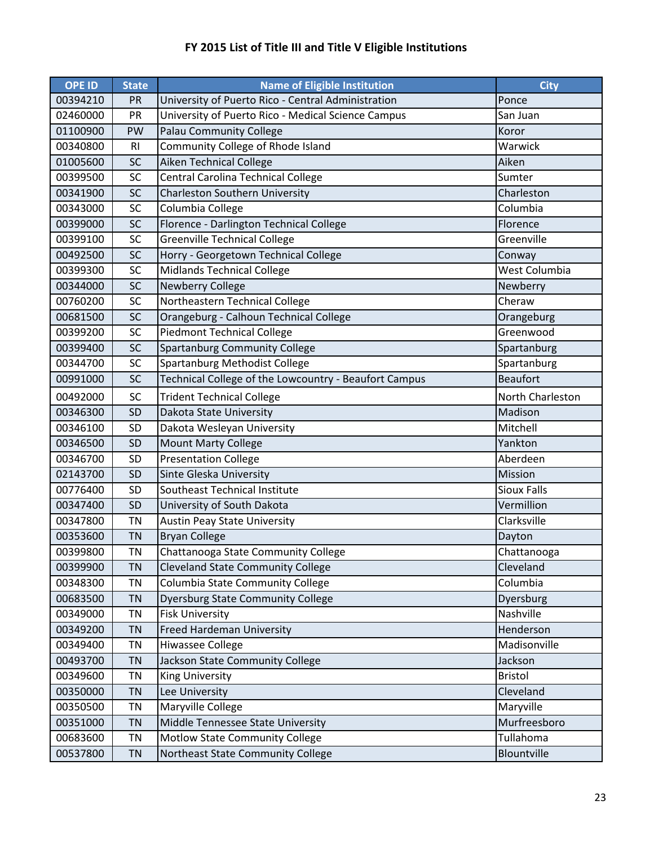| <b>OPE ID</b> | <b>State</b>   | <b>Name of Eligible Institution</b>                   | <b>City</b>        |
|---------------|----------------|-------------------------------------------------------|--------------------|
| 00394210      | <b>PR</b>      | University of Puerto Rico - Central Administration    | Ponce              |
| 02460000      | PR             | University of Puerto Rico - Medical Science Campus    | San Juan           |
| 01100900      | PW             | <b>Palau Community College</b>                        | Koror              |
| 00340800      | R <sub>l</sub> | Community College of Rhode Island                     | Warwick            |
| 01005600      | SC             | Aiken Technical College                               | Aiken              |
| 00399500      | SC             | Central Carolina Technical College                    | Sumter             |
| 00341900      | SC             | <b>Charleston Southern University</b>                 | Charleston         |
| 00343000      | SC             | Columbia College                                      | Columbia           |
| 00399000      | SC             | Florence - Darlington Technical College               | Florence           |
| 00399100      | SC             | <b>Greenville Technical College</b>                   | Greenville         |
| 00492500      | SC             | Horry - Georgetown Technical College                  | Conway             |
| 00399300      | SC             | Midlands Technical College                            | West Columbia      |
| 00344000      | SC             | <b>Newberry College</b>                               | Newberry           |
| 00760200      | SC             | Northeastern Technical College                        | Cheraw             |
| 00681500      | SC             | Orangeburg - Calhoun Technical College                | Orangeburg         |
| 00399200      | SC             | <b>Piedmont Technical College</b>                     | Greenwood          |
| 00399400      | SC             | <b>Spartanburg Community College</b>                  | Spartanburg        |
| 00344700      | SC             | Spartanburg Methodist College                         | Spartanburg        |
| 00991000      | <b>SC</b>      | Technical College of the Lowcountry - Beaufort Campus | <b>Beaufort</b>    |
| 00492000      | SC             | <b>Trident Technical College</b>                      | North Charleston   |
| 00346300      | SD             | Dakota State University                               | Madison            |
| 00346100      | SD             | Dakota Wesleyan University                            | Mitchell           |
| 00346500      | SD             | <b>Mount Marty College</b>                            | Yankton            |
| 00346700      | SD             | <b>Presentation College</b>                           | Aberdeen           |
| 02143700      | SD             | Sinte Gleska University                               | Mission            |
| 00776400      | SD             | Southeast Technical Institute                         | <b>Sioux Falls</b> |
| 00347400      | <b>SD</b>      | University of South Dakota                            | Vermillion         |
| 00347800      | <b>TN</b>      | <b>Austin Peay State University</b>                   | Clarksville        |
| 00353600      | <b>TN</b>      | <b>Bryan College</b>                                  | Dayton             |
| 00399800      | TN             | Chattanooga State Community College                   | Chattanooga        |
| 00399900      | <b>TN</b>      | <b>Cleveland State Community College</b>              | Cleveland          |
| 00348300      | TN             | Columbia State Community College                      | Columbia           |
| 00683500      | <b>TN</b>      | <b>Dyersburg State Community College</b>              | Dyersburg          |
| 00349000      | <b>TN</b>      | <b>Fisk University</b>                                | Nashville          |
| 00349200      | <b>TN</b>      | <b>Freed Hardeman University</b>                      | Henderson          |
| 00349400      | TN             | Hiwassee College                                      | Madisonville       |
| 00493700      | <b>TN</b>      | Jackson State Community College                       | Jackson            |
| 00349600      | TN             | <b>King University</b>                                | <b>Bristol</b>     |
| 00350000      | TN             | Lee University                                        | Cleveland          |
| 00350500      | <b>TN</b>      | Maryville College                                     | Maryville          |
| 00351000      | <b>TN</b>      | Middle Tennessee State University                     | Murfreesboro       |
| 00683600      | TN             | Motlow State Community College                        | Tullahoma          |
| 00537800      | TN             | Northeast State Community College                     | Blountville        |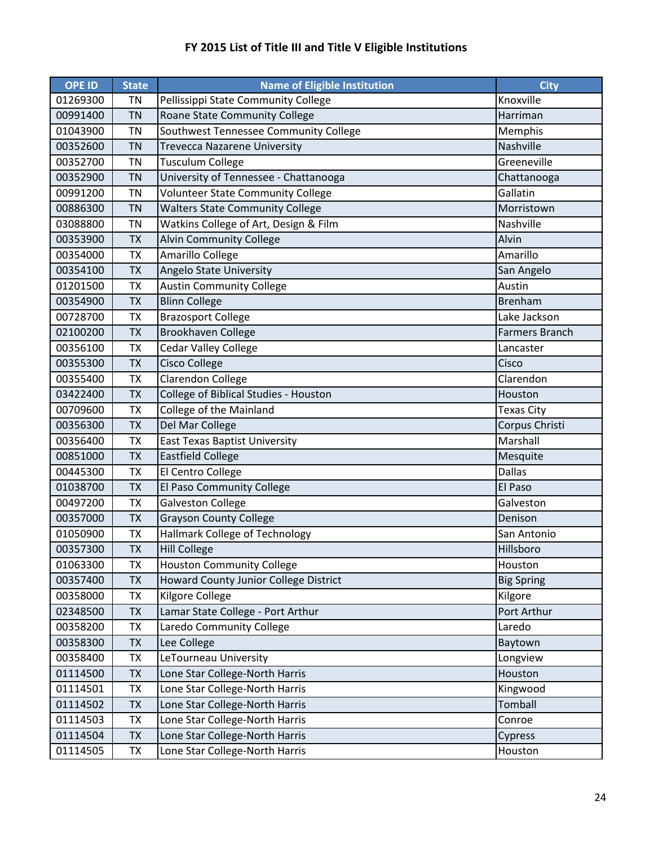| <b>OPE ID</b> | <b>State</b> | <b>Name of Eligible Institution</b>    | <b>City</b>           |
|---------------|--------------|----------------------------------------|-----------------------|
| 01269300      | <b>TN</b>    | Pellissippi State Community College    | Knoxville             |
| 00991400      | <b>TN</b>    | Roane State Community College          | Harriman              |
| 01043900      | <b>TN</b>    | Southwest Tennessee Community College  | Memphis               |
| 00352600      | <b>TN</b>    | <b>Trevecca Nazarene University</b>    | Nashville             |
| 00352700      | <b>TN</b>    | <b>Tusculum College</b>                | Greeneville           |
| 00352900      | <b>TN</b>    | University of Tennessee - Chattanooga  | Chattanooga           |
| 00991200      | <b>TN</b>    | Volunteer State Community College      | Gallatin              |
| 00886300      | <b>TN</b>    | <b>Walters State Community College</b> | Morristown            |
| 03088800      | <b>TN</b>    | Watkins College of Art, Design & Film  | Nashville             |
| 00353900      | <b>TX</b>    | <b>Alvin Community College</b>         | Alvin                 |
| 00354000      | <b>TX</b>    | Amarillo College                       | Amarillo              |
| 00354100      | <b>TX</b>    | Angelo State University                | San Angelo            |
| 01201500      | <b>TX</b>    | <b>Austin Community College</b>        | Austin                |
| 00354900      | <b>TX</b>    | <b>Blinn College</b>                   | <b>Brenham</b>        |
| 00728700      | <b>TX</b>    | <b>Brazosport College</b>              | Lake Jackson          |
| 02100200      | <b>TX</b>    | <b>Brookhaven College</b>              | <b>Farmers Branch</b> |
| 00356100      | <b>TX</b>    | <b>Cedar Valley College</b>            | Lancaster             |
| 00355300      | <b>TX</b>    | <b>Cisco College</b>                   | Cisco                 |
| 00355400      | <b>TX</b>    | <b>Clarendon College</b>               | Clarendon             |
| 03422400      | <b>TX</b>    | College of Biblical Studies - Houston  | Houston               |
| 00709600      | <b>TX</b>    | College of the Mainland                | <b>Texas City</b>     |
| 00356300      | <b>TX</b>    | Del Mar College                        | Corpus Christi        |
| 00356400      | <b>TX</b>    | <b>East Texas Baptist University</b>   | Marshall              |
| 00851000      | <b>TX</b>    | <b>Eastfield College</b>               | Mesquite              |
| 00445300      | <b>TX</b>    | El Centro College                      | <b>Dallas</b>         |
| 01038700      | <b>TX</b>    | El Paso Community College              | El Paso               |
| 00497200      | <b>TX</b>    | <b>Galveston College</b>               | Galveston             |
| 00357000      | <b>TX</b>    | <b>Grayson County College</b>          | Denison               |
| 01050900      | <b>TX</b>    | <b>Hallmark College of Technology</b>  | San Antonio           |
| 00357300      | <b>TX</b>    | <b>Hill College</b>                    | Hillsboro             |
| 01063300      | TX           | <b>Houston Community College</b>       | Houston               |
| 00357400      | <b>TX</b>    | Howard County Junior College District  | <b>Big Spring</b>     |
| 00358000      | TX           | Kilgore College                        | Kilgore               |
| 02348500      | <b>TX</b>    | Lamar State College - Port Arthur      | Port Arthur           |
| 00358200      | TX           | Laredo Community College               | Laredo                |
| 00358300      | <b>TX</b>    | Lee College                            | Baytown               |
| 00358400      | TX           | LeTourneau University                  | Longview              |
| 01114500      | <b>TX</b>    | Lone Star College-North Harris         | Houston               |
| 01114501      | TX           | Lone Star College-North Harris         | Kingwood              |
| 01114502      | <b>TX</b>    | Lone Star College-North Harris         | Tomball               |
| 01114503      | TX           | Lone Star College-North Harris         | Conroe                |
| 01114504      | TX           | Lone Star College-North Harris         | Cypress               |
| 01114505      | TX           | Lone Star College-North Harris         | Houston               |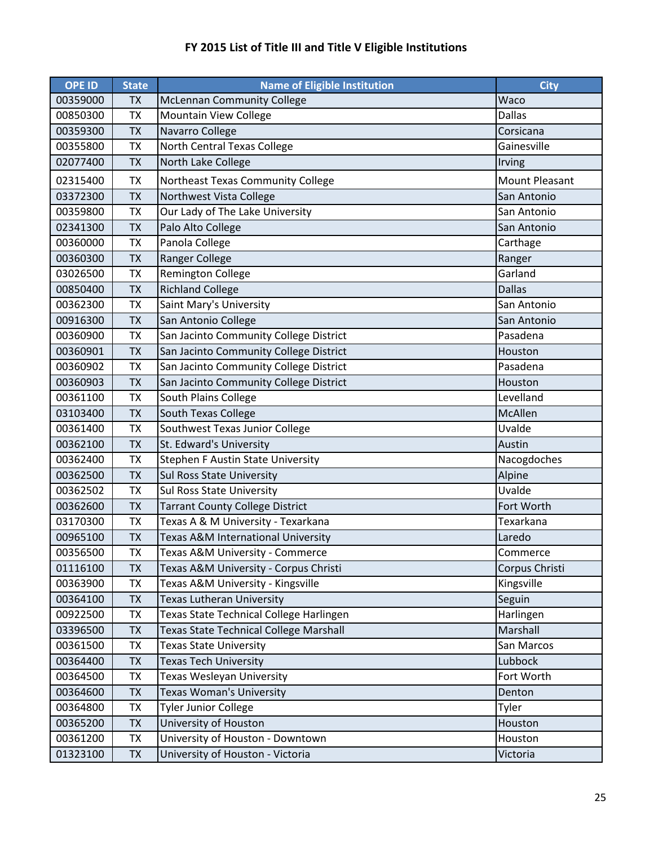| <b>OPE ID</b> | <b>State</b> | <b>Name of Eligible Institution</b>     | <b>City</b>           |
|---------------|--------------|-----------------------------------------|-----------------------|
| 00359000      | <b>TX</b>    | <b>McLennan Community College</b>       | Waco                  |
| 00850300      | <b>TX</b>    | <b>Mountain View College</b>            | <b>Dallas</b>         |
| 00359300      | <b>TX</b>    | Navarro College                         | Corsicana             |
| 00355800      | <b>TX</b>    | North Central Texas College             | Gainesville           |
| 02077400      | <b>TX</b>    | North Lake College                      | Irving                |
| 02315400      | <b>TX</b>    | Northeast Texas Community College       | <b>Mount Pleasant</b> |
| 03372300      | <b>TX</b>    | Northwest Vista College                 | San Antonio           |
| 00359800      | <b>TX</b>    | Our Lady of The Lake University         | San Antonio           |
| 02341300      | <b>TX</b>    | Palo Alto College                       | San Antonio           |
| 00360000      | <b>TX</b>    | Panola College                          | Carthage              |
| 00360300      | <b>TX</b>    | <b>Ranger College</b>                   | Ranger                |
| 03026500      | <b>TX</b>    | <b>Remington College</b>                | Garland               |
| 00850400      | <b>TX</b>    | <b>Richland College</b>                 | <b>Dallas</b>         |
| 00362300      | <b>TX</b>    | Saint Mary's University                 | San Antonio           |
| 00916300      | <b>TX</b>    | San Antonio College                     | San Antonio           |
| 00360900      | <b>TX</b>    | San Jacinto Community College District  | Pasadena              |
| 00360901      | <b>TX</b>    | San Jacinto Community College District  | Houston               |
| 00360902      | <b>TX</b>    | San Jacinto Community College District  | Pasadena              |
| 00360903      | <b>TX</b>    | San Jacinto Community College District  | Houston               |
| 00361100      | <b>TX</b>    | South Plains College                    | Levelland             |
| 03103400      | <b>TX</b>    | South Texas College                     | McAllen               |
| 00361400      | <b>TX</b>    | Southwest Texas Junior College          | Uvalde                |
| 00362100      | <b>TX</b>    | St. Edward's University                 | Austin                |
| 00362400      | <b>TX</b>    | Stephen F Austin State University       | Nacogdoches           |
| 00362500      | <b>TX</b>    | <b>Sul Ross State University</b>        | Alpine                |
| 00362502      | <b>TX</b>    | <b>Sul Ross State University</b>        | Uvalde                |
| 00362600      | <b>TX</b>    | <b>Tarrant County College District</b>  | Fort Worth            |
| 03170300      | <b>TX</b>    | Texas A & M University - Texarkana      | Texarkana             |
| 00965100      | <b>TX</b>    | Texas A&M International University      | Laredo                |
| 00356500      | <b>TX</b>    | Texas A&M University - Commerce         | Commerce              |
| 01116100      | <b>TX</b>    | Texas A&M University - Corpus Christi   | Corpus Christi        |
| 00363900      | TX           | Texas A&M University - Kingsville       | Kingsville            |
| 00364100      | <b>TX</b>    | Texas Lutheran University               | Seguin                |
| 00922500      | TX           | Texas State Technical College Harlingen | Harlingen             |
| 03396500      | <b>TX</b>    | Texas State Technical College Marshall  | Marshall              |
| 00361500      | <b>TX</b>    | <b>Texas State University</b>           | San Marcos            |
| 00364400      | <b>TX</b>    | <b>Texas Tech University</b>            | Lubbock               |
| 00364500      | TX           | Texas Wesleyan University               | Fort Worth            |
| 00364600      | <b>TX</b>    | Texas Woman's University                | Denton                |
| 00364800      | TX           | <b>Tyler Junior College</b>             | Tyler                 |
| 00365200      | <b>TX</b>    | University of Houston                   | Houston               |
| 00361200      | TX           | University of Houston - Downtown        | Houston               |
| 01323100      | <b>TX</b>    | University of Houston - Victoria        | Victoria              |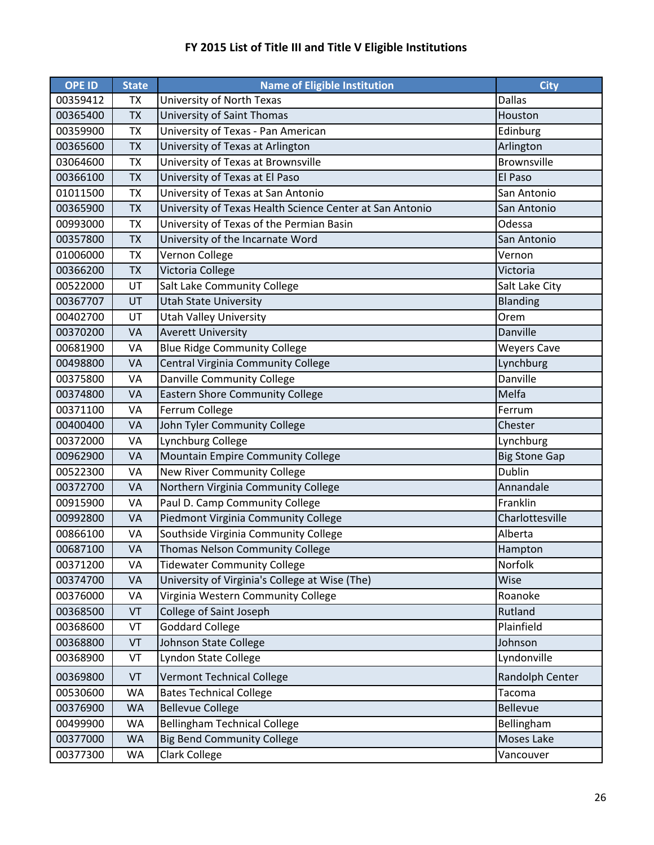| <b>OPE ID</b> | <b>State</b> | <b>Name of Eligible Institution</b>                      | <b>City</b>          |
|---------------|--------------|----------------------------------------------------------|----------------------|
| 00359412      | TX           | University of North Texas                                | <b>Dallas</b>        |
| 00365400      | <b>TX</b>    | University of Saint Thomas                               | Houston              |
| 00359900      | <b>TX</b>    | University of Texas - Pan American                       | Edinburg             |
| 00365600      | <b>TX</b>    | University of Texas at Arlington                         | Arlington            |
| 03064600      | <b>TX</b>    | University of Texas at Brownsville                       | <b>Brownsville</b>   |
| 00366100      | <b>TX</b>    | University of Texas at El Paso                           | El Paso              |
| 01011500      | <b>TX</b>    | University of Texas at San Antonio                       | San Antonio          |
| 00365900      | <b>TX</b>    | University of Texas Health Science Center at San Antonio | San Antonio          |
| 00993000      | <b>TX</b>    | University of Texas of the Permian Basin                 | Odessa               |
| 00357800      | <b>TX</b>    | University of the Incarnate Word                         | San Antonio          |
| 01006000      | <b>TX</b>    | Vernon College                                           | Vernon               |
| 00366200      | <b>TX</b>    | Victoria College                                         | Victoria             |
| 00522000      | UT           | Salt Lake Community College                              | Salt Lake City       |
| 00367707      | UT           | <b>Utah State University</b>                             | <b>Blanding</b>      |
| 00402700      | UT           | <b>Utah Valley University</b>                            | Orem                 |
| 00370200      | VA           | <b>Averett University</b>                                | Danville             |
| 00681900      | VA           | <b>Blue Ridge Community College</b>                      | <b>Weyers Cave</b>   |
| 00498800      | VA           | Central Virginia Community College                       | Lynchburg            |
| 00375800      | VA           | Danville Community College                               | Danville             |
| 00374800      | VA           | <b>Eastern Shore Community College</b>                   | Melfa                |
| 00371100      | VA           | Ferrum College                                           | Ferrum               |
| 00400400      | VA           | John Tyler Community College                             | Chester              |
| 00372000      | VA           | Lynchburg College                                        | Lynchburg            |
| 00962900      | VA           | Mountain Empire Community College                        | <b>Big Stone Gap</b> |
| 00522300      | VA           | New River Community College                              | <b>Dublin</b>        |
| 00372700      | VA           | Northern Virginia Community College                      | Annandale            |
| 00915900      | VA           | Paul D. Camp Community College                           | Franklin             |
| 00992800      | VA           | Piedmont Virginia Community College                      | Charlottesville      |
| 00866100      | VA           | Southside Virginia Community College                     | Alberta              |
| 00687100      | <b>VA</b>    | Thomas Nelson Community College                          | Hampton              |
| 00371200      | VA           | <b>Tidewater Community College</b>                       | Norfolk              |
| 00374700      | VA           | University of Virginia's College at Wise (The)           | Wise                 |
| 00376000      | VA           | Virginia Western Community College                       | Roanoke              |
| 00368500      | VT           | College of Saint Joseph                                  | Rutland              |
| 00368600      | VT           | <b>Goddard College</b>                                   | Plainfield           |
| 00368800      | VT           | Johnson State College                                    | Johnson              |
| 00368900      | VT           | Lyndon State College                                     | Lyndonville          |
| 00369800      | VT           | <b>Vermont Technical College</b>                         | Randolph Center      |
| 00530600      | <b>WA</b>    | <b>Bates Technical College</b>                           | Tacoma               |
| 00376900      | WA           | <b>Bellevue College</b>                                  | <b>Bellevue</b>      |
| 00499900      | WA           | <b>Bellingham Technical College</b>                      | Bellingham           |
| 00377000      | <b>WA</b>    | <b>Big Bend Community College</b>                        | Moses Lake           |
| 00377300      | WA           | Clark College                                            | Vancouver            |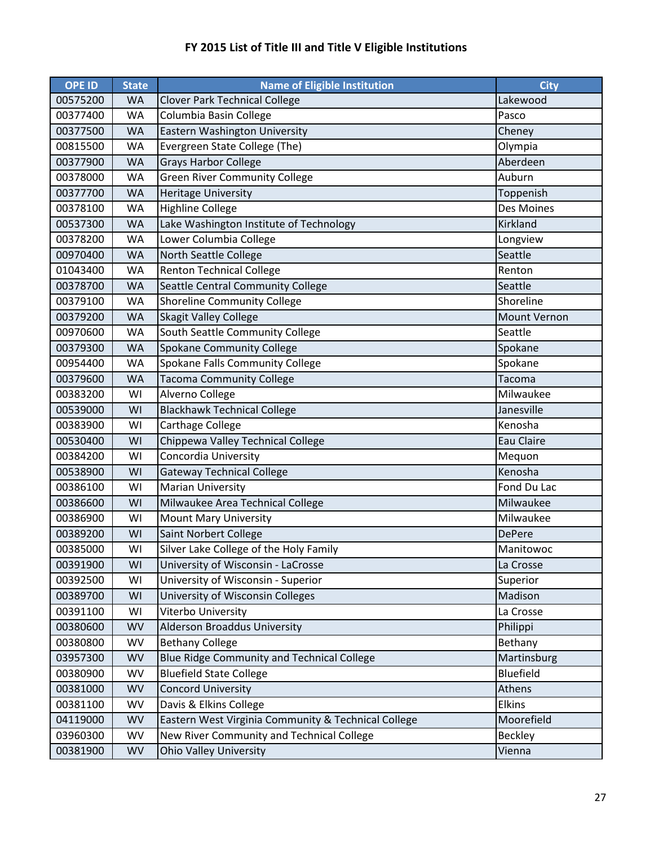| <b>OPE ID</b> | <b>State</b> | <b>Name of Eligible Institution</b>                 | <b>City</b>    |
|---------------|--------------|-----------------------------------------------------|----------------|
| 00575200      | <b>WA</b>    | <b>Clover Park Technical College</b>                | Lakewood       |
| 00377400      | <b>WA</b>    | Columbia Basin College                              | Pasco          |
| 00377500      | <b>WA</b>    | Eastern Washington University                       | Cheney         |
| 00815500      | <b>WA</b>    | Evergreen State College (The)                       | Olympia        |
| 00377900      | <b>WA</b>    | <b>Grays Harbor College</b>                         | Aberdeen       |
| 00378000      | <b>WA</b>    | <b>Green River Community College</b>                | Auburn         |
| 00377700      | <b>WA</b>    | <b>Heritage University</b>                          | Toppenish      |
| 00378100      | <b>WA</b>    | <b>Highline College</b>                             | Des Moines     |
| 00537300      | <b>WA</b>    | Lake Washington Institute of Technology             | Kirkland       |
| 00378200      | <b>WA</b>    | Lower Columbia College                              | Longview       |
| 00970400      | <b>WA</b>    | North Seattle College                               | Seattle        |
| 01043400      | <b>WA</b>    | <b>Renton Technical College</b>                     | Renton         |
| 00378700      | <b>WA</b>    | Seattle Central Community College                   | Seattle        |
| 00379100      | <b>WA</b>    | <b>Shoreline Community College</b>                  | Shoreline      |
| 00379200      | <b>WA</b>    | <b>Skagit Valley College</b>                        | Mount Vernon   |
| 00970600      | <b>WA</b>    | South Seattle Community College                     | Seattle        |
| 00379300      | <b>WA</b>    | <b>Spokane Community College</b>                    | Spokane        |
| 00954400      | <b>WA</b>    | Spokane Falls Community College                     | Spokane        |
| 00379600      | <b>WA</b>    | <b>Tacoma Community College</b>                     | Tacoma         |
| 00383200      | WI           | Alverno College                                     | Milwaukee      |
| 00539000      | WI           | <b>Blackhawk Technical College</b>                  | Janesville     |
| 00383900      | WI           | Carthage College                                    | Kenosha        |
| 00530400      | WI           | Chippewa Valley Technical College                   | Eau Claire     |
| 00384200      | WI           | Concordia University                                | Mequon         |
| 00538900      | WI           | <b>Gateway Technical College</b>                    | Kenosha        |
| 00386100      | WI           | <b>Marian University</b>                            | Fond Du Lac    |
| 00386600      | WI           | Milwaukee Area Technical College                    | Milwaukee      |
| 00386900      | WI           | <b>Mount Mary University</b>                        | Milwaukee      |
| 00389200      | WI           | Saint Norbert College                               | <b>DePere</b>  |
| 00385000      | WI           | Silver Lake College of the Holy Family              | Manitowoc      |
| 00391900      | WI           | University of Wisconsin - LaCrosse                  | La Crosse      |
| 00392500      | WI           | University of Wisconsin - Superior                  | Superior       |
| 00389700      | WI           | University of Wisconsin Colleges                    | Madison        |
| 00391100      | WI           | Viterbo University                                  | La Crosse      |
| 00380600      | <b>WV</b>    | <b>Alderson Broaddus University</b>                 | Philippi       |
| 00380800      | <b>WV</b>    | <b>Bethany College</b>                              | Bethany        |
| 03957300      | <b>WV</b>    | Blue Ridge Community and Technical College          | Martinsburg    |
| 00380900      | WV           | <b>Bluefield State College</b>                      | Bluefield      |
| 00381000      | <b>WV</b>    | <b>Concord University</b>                           | Athens         |
| 00381100      | WV           | Davis & Elkins College                              | Elkins         |
| 04119000      | <b>WV</b>    | Eastern West Virginia Community & Technical College | Moorefield     |
| 03960300      | WV           | New River Community and Technical College           | <b>Beckley</b> |
| 00381900      | <b>WV</b>    | <b>Ohio Valley University</b>                       | Vienna         |